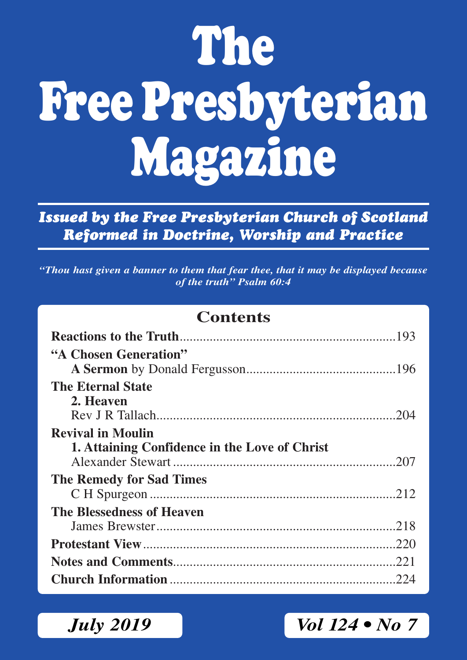# **The Free Presbyterian Magazine**

*Issued by the Free Presbyterian Church of Scotland Reformed in Doctrine, Worship and Practice*

*"Thou hast given a banner to them that fear thee, that it may be displayed because of the truth" Psalm 60:4*

#### **Contents**

| "A Chosen Generation"                         |      |
|-----------------------------------------------|------|
|                                               |      |
| <b>The Eternal State</b>                      |      |
| 2. Heaven                                     |      |
|                                               |      |
| <b>Revival in Moulin</b>                      |      |
| 1. Attaining Confidence in the Love of Christ |      |
|                                               |      |
| <b>The Remedy for Sad Times</b>               |      |
|                                               |      |
| The Blessedness of Heaven                     |      |
|                                               |      |
|                                               | .220 |
|                                               | .221 |
|                                               |      |

*July 2019 Vol 124 • No 7*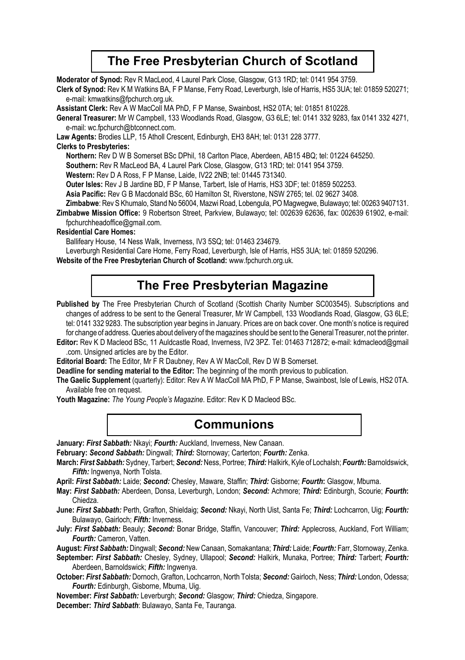#### **The Free Presbyterian Church of Scotland**

**Moderator of Synod:** Rev R MacLeod, 4 Laurel Park Close, Glasgow, G13 1RD; tel: 0141 954 3759.

**Clerk of Synod:** Rev K M Watkins BA, F P Manse, Ferry Road, Leverburgh, Isle of Harris, HS5 3UA; tel: 01859 520271; e-mail: kmwatkins@fpchurch.org.uk.

**Assistant Clerk:** Rev A W MacColl MA PhD, F P Manse, Swainbost, HS2 0TA; tel: 01851 810228.

**General Treasurer:** Mr W Campbell, 133 Woodlands Road, Glasgow, G3 6LE; tel: 0141 332 9283, fax 0141 332 4271, e-mail: wc.fpchurch@btconnect.com.

**Law Agents:** Brodies LLP, 15 Atholl Crescent, Edinburgh, EH3 8AH; tel: 0131 228 3777.

#### **Clerks to Presbyteries:**

**Northern:** Rev D W B Somerset BSc DPhil, 18 Carlton Place, Aberdeen, AB15 4BQ; tel: 01224 645250.

**Southern:** Rev R MacLeod BA, 4 Laurel Park Close, Glasgow, G13 1RD; tel: 0141 954 3759.

**Western:** Rev D A Ross, F P Manse, Laide, IV22 2NB; tel: 01445 731340.

**Outer lsles:** Rev J B Jardine BD, F P Manse, Tarbert, Isle of Harris, HS3 3DF; tel: 01859 502253.

**Asia Pacific:** Rev G B Macdonald BSc, 60 Hamilton St, Riverstone, NSW 2765; tel. 02 9627 3408.

**Zimbabwe**: Rev S Khumalo, Stand No 56004, Mazwi Road, Lobengula, PO Magwegwe, Bulawayo; tel: 00263 9407131.

**Zimbabwe Mission Office:** 9 Robertson Street, Parkview, Bulawayo; tel: 002639 62636, fax: 002639 61902, e-mail: fpchurchheadoffice@gmail.com.

#### **Residential Care Homes:**

Ballifeary House, 14 Ness Walk, Inverness, IV3 5SQ; tel: 01463 234679.

Leverburgh Residential Care Home, Ferry Road, Leverburgh, Isle of Harris, HS5 3UA; tel: 01859 520296.

**Website of the Free Presbyterian Church of Scotland:** www.fpchurch.org.uk.

#### **The Free Presbyterian Magazine**

Published by The Free Presbyterian Church of Scotland (Scottish Charity Number SC003545). Subscriptions and changes of address to be sent to the General Treasurer, Mr W Campbell, 133 Woodlands Road, Glasgow, G3 6LE; tel: 0141 332 9283. The subscription year begins in January. Prices are on back cover. One month's notice is required for change of address. Queries about delivery of the magazines should be sent to the General Treasurer, not the printer.

**Editor:** Rev K D Macleod BSc, 11 Auldcastle Road, Inverness, IV2 3PZ. Tel: 01463 712872; e-mail: kdmacleod@gmail .com. Unsigned articles are by the Editor.

**Editorial Board:** The Editor, Mr F R Daubney, Rev A W MacColl, Rev D W B Somerset.

**Deadline for sending material to the Editor:** The beginning of the month previous to publication.

**The Gaelic Supplement** (quarterly): Editor: Rev A W MacColl MA PhD, F P Manse, Swainbost, Isle of Lewis, HS2 0TA. Available free on request.

**Youth Magazine:** *The Young People's Magazine*. Editor: Rev K D Macleod BSc.

#### **Communions**

**January:** *First Sabbath:* Nkayi; *Fourth:* Auckland, Inverness, New Canaan.

**February:** *Second Sabbath:* Dingwall; *Third:* Stornoway; Carterton; *Fourth:* Zenka.

**March:** *First Sabbath:* Sydney, Tarbert; *Second:* Ness, Portree; *Third:* Halkirk, Kyle of Lochalsh; *Fourth:* Barnoldswick, *Fifth:* Ingwenya, North Tolsta.

**April:** *First Sabbath:* Laide; *Second:* Chesley, Maware, Staffin; *Third:* Gisborne; *Fourth***:** Glasgow, Mbuma.

**May:** *First Sabbath:* Aberdeen, Donsa, Leverburgh, London; *Second:* Achmore; *Third:* Edinburgh, Scourie; *Fourth***:** Chiedza.

**June:** *First Sabbath:* Perth, Grafton, Shieldaig; *Second:* Nkayi, North Uist, Santa Fe; *Third:* Lochcarron, Uig; *Fourth:*  Bulawayo, Gairloch; *Fifth:* Inverness.

**July:** *First Sabbath:* Beauly; *Second:* Bonar Bridge, Staffin, Vancouver; *Third:* Applecross, Auckland, Fort William; *Fourth:* Cameron, Vatten.

**August:** *First Sabbath:* Dingwall; *Second:* New Canaan, Somakantana; *Third:* Laide; *Fourth:* Farr, Stornoway, Zenka.

**September:** *First Sabbath:* Chesley, Sydney, Ullapool; *Second:* Halkirk, Munaka, Portree; *Third:* Tarbert; *Fourth:* Aberdeen, Barnoldswick; *Fifth:* Ingwenya.

**October:** *First Sabbath:* Dornoch, Grafton, Lochcarron, North Tolsta; *Second:* Gairloch, Ness; *Third:* London, Odessa; *Fourth:* Edinburgh, Gisborne, Mbuma, Uig.

**November:** *First Sabbath:* Leverburgh; *Second:* Glasgow; *Third:* Chiedza, Singapore.

**December:** *Third Sabbath*: Bulawayo, Santa Fe, Tauranga.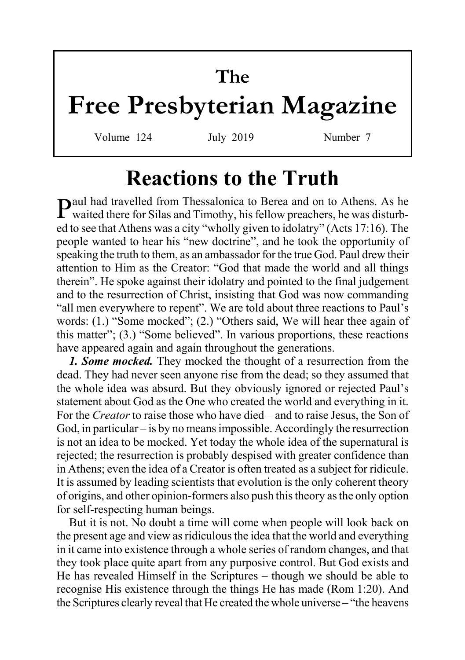# **The Free Presbyterian Magazine**

Volume 124 July 2019 Number 7

## **Reactions to the Truth**

Paul had travelled from Thessalonica to Berea and on to Athens. As he waited there for Silas and Timothy, his fellow preachers, he was disturbed to see that Athens was a city "wholly given to idolatry" (Acts 17:16). The people wanted to hear his "new doctrine", and he took the opportunity of speaking the truth to them, as an ambassador for the true God. Paul drew their attention to Him as the Creator: "God that made the world and all things therein". He spoke against their idolatry and pointed to the final judgement and to the resurrection of Christ, insisting that God was now commanding "all men everywhere to repent". We are told about three reactions to Paul's words: (1.) "Some mocked"; (2.) "Others said, We will hear thee again of this matter"; (3.) "Some believed". In various proportions, these reactions have appeared again and again throughout the generations.

*1. Some mocked.* They mocked the thought of a resurrection from the dead. They had never seen anyone rise from the dead; so they assumed that the whole idea was absurd. But they obviously ignored or rejected Paul's statement about God as the One who created the world and everything in it. For the *Creator* to raise those who have died – and to raise Jesus, the Son of God, in particular – is by no means impossible. Accordingly the resurrection is not an idea to be mocked. Yet today the whole idea of the supernatural is rejected; the resurrection is probably despised with greater confidence than in Athens; even the idea of a Creator is often treated as a subject for ridicule. It is assumed by leading scientists that evolution is the only coherent theory of origins, and other opinion-formers also push this theory as the only option for self-respecting human beings.

But it is not. No doubt a time will come when people will look back on the present age and view as ridiculous the idea that the world and everything in it came into existence through a whole series of random changes, and that they took place quite apart from any purposive control. But God exists and He has revealed Himself in the Scriptures – though we should be able to recognise His existence through the things He has made (Rom 1:20). And the Scriptures clearly reveal that He created the whole universe – "the heavens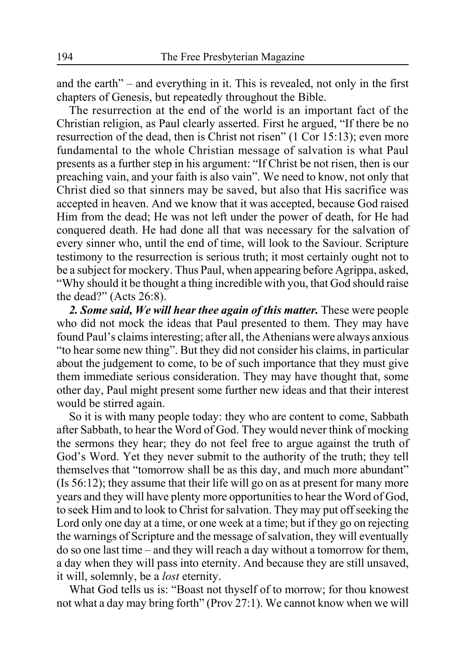and the earth" – and everything in it. This is revealed, not only in the first chapters of Genesis, but repeatedly throughout the Bible.

The resurrection at the end of the world is an important fact of the Christian religion, as Paul clearly asserted. First he argued, "If there be no resurrection of the dead, then is Christ not risen" (1 Cor 15:13); even more fundamental to the whole Christian message of salvation is what Paul presents as a further step in his argument: "If Christ be not risen, then is our preaching vain, and your faith is also vain". We need to know, not only that Christ died so that sinners may be saved, but also that His sacrifice was accepted in heaven. And we know that it was accepted, because God raised Him from the dead; He was not left under the power of death, for He had conquered death. He had done all that was necessary for the salvation of every sinner who, until the end of time, will look to the Saviour. Scripture testimony to the resurrection is serious truth; it most certainly ought not to be a subject for mockery. Thus Paul, when appearing before Agrippa, asked, "Why should it be thought a thing incredible with you, that God should raise the dead?" (Acts 26:8).

*2. Some said, We will hear thee again of this matter.* These were people who did not mock the ideas that Paul presented to them. They may have found Paul's claims interesting; after all, the Athenians were always anxious "to hear some new thing". But they did not consider his claims, in particular about the judgement to come, to be of such importance that they must give them immediate serious consideration. They may have thought that, some other day, Paul might present some further new ideas and that their interest would be stirred again.

So it is with many people today: they who are content to come, Sabbath after Sabbath, to hear the Word of God. They would never think of mocking the sermons they hear; they do not feel free to argue against the truth of God's Word. Yet they never submit to the authority of the truth; they tell themselves that "tomorrow shall be as this day, and much more abundant" (Is 56:12); they assume that their life will go on as at present for many more years and they will have plenty more opportunities to hear the Word of God, to seek Him and to look to Christ for salvation. They may put off seeking the Lord only one day at a time, or one week at a time; but if they go on rejecting the warnings of Scripture and the message of salvation, they will eventually do so one last time – and they will reach a day without a tomorrow for them, a day when they will pass into eternity. And because they are still unsaved, it will, solemnly, be a *lost* eternity.

What God tells us is: "Boast not thyself of to morrow; for thou knowest not what a day may bring forth" (Prov 27:1). We cannot know when we will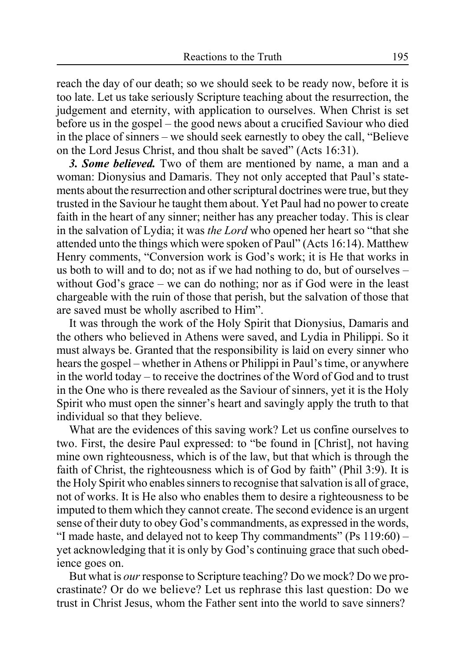reach the day of our death; so we should seek to be ready now, before it is too late. Let us take seriously Scripture teaching about the resurrection, the judgement and eternity, with application to ourselves. When Christ is set before us in the gospel – the good news about a crucified Saviour who died in the place of sinners – we should seek earnestly to obey the call, "Believe on the Lord Jesus Christ, and thou shalt be saved" (Acts 16:31).

*3. Some believed.* Two of them are mentioned by name, a man and a woman: Dionysius and Damaris. They not only accepted that Paul's statements about the resurrection and other scriptural doctrines were true, but they trusted in the Saviour he taught them about. Yet Paul had no power to create faith in the heart of any sinner; neither has any preacher today. This is clear in the salvation of Lydia; it was *the Lord* who opened her heart so "that she attended unto the things which were spoken of Paul" (Acts 16:14). Matthew Henry comments, "Conversion work is God's work; it is He that works in us both to will and to do; not as if we had nothing to do, but of ourselves – without God's grace – we can do nothing; nor as if God were in the least chargeable with the ruin of those that perish, but the salvation of those that are saved must be wholly ascribed to Him".

It was through the work of the Holy Spirit that Dionysius, Damaris and the others who believed in Athens were saved, and Lydia in Philippi. So it must always be. Granted that the responsibility is laid on every sinner who hears the gospel – whether in Athens or Philippi in Paul's time, or anywhere in the world today – to receive the doctrines of the Word of God and to trust in the One who is there revealed as the Saviour of sinners, yet it is the Holy Spirit who must open the sinner's heart and savingly apply the truth to that individual so that they believe.

What are the evidences of this saving work? Let us confine ourselves to two. First, the desire Paul expressed: to "be found in [Christ], not having mine own righteousness, which is of the law, but that which is through the faith of Christ, the righteousness which is of God by faith" (Phil 3:9). It is the Holy Spirit who enables sinners to recognise that salvation is all of grace, not of works. It is He also who enables them to desire a righteousness to be imputed to them which they cannot create. The second evidence is an urgent sense of their duty to obey God's commandments, as expressed in the words, "I made haste, and delayed not to keep Thy commandments" (Ps 119:60) – yet acknowledging that it is only by God's continuing grace that such obedience goes on.

But what is *our* response to Scripture teaching? Do we mock? Do we procrastinate? Or do we believe? Let us rephrase this last question: Do we trust in Christ Jesus, whom the Father sent into the world to save sinners?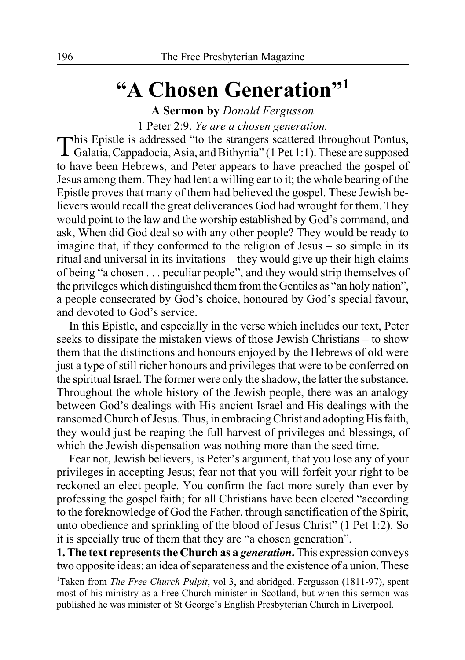# **"A Chosen Generation"1**

**A Sermon by** *Donald Fergusson*

1 Peter 2:9. *Ye are a chosen generation.*

This Epistle is addressed "to the strangers scattered throughout Pontus, Galatia, Cappadocia, Asia, and Bithynia" (1 Pet 1:1). These are supposed to have been Hebrews, and Peter appears to have preached the gospel of Jesus among them. They had lent a willing ear to it; the whole bearing of the Epistle proves that many of them had believed the gospel. These Jewish believers would recall the great deliverances God had wrought for them. They would point to the law and the worship established by God's command, and ask, When did God deal so with any other people? They would be ready to imagine that, if they conformed to the religion of Jesus – so simple in its ritual and universal in its invitations – they would give up their high claims of being "a chosen . . . peculiar people", and they would strip themselves of the privileges which distinguished them from the Gentiles as "an holy nation", a people consecrated by God's choice, honoured by God's special favour, and devoted to God's service.

In this Epistle, and especially in the verse which includes our text, Peter seeks to dissipate the mistaken views of those Jewish Christians – to show them that the distinctions and honours enjoyed by the Hebrews of old were just a type of still richer honours and privileges that were to be conferred on the spiritual Israel. The former were only the shadow, the latter the substance. Throughout the whole history of the Jewish people, there was an analogy between God's dealings with His ancient Israel and His dealings with the ransomed Church of Jesus. Thus, in embracing Christ and adopting His faith, they would just be reaping the full harvest of privileges and blessings, of which the Jewish dispensation was nothing more than the seed time.

Fear not, Jewish believers, is Peter's argument, that you lose any of your privileges in accepting Jesus; fear not that you will forfeit your right to be reckoned an elect people. You confirm the fact more surely than ever by professing the gospel faith; for all Christians have been elected "according to the foreknowledge of God the Father, through sanctification of the Spirit, unto obedience and sprinkling of the blood of Jesus Christ" (1 Pet 1:2). So it is specially true of them that they are "a chosen generation".

**1. The text represents the Church as a** *generation***.** This expression conveys two opposite ideas: an idea of separateness and the existence of a union. These

<sup>1</sup>Taken from *The Free Church Pulpit*, vol 3, and abridged. Fergusson (1811-97), spent most of his ministry as a Free Church minister in Scotland, but when this sermon was published he was minister of St George's English Presbyterian Church in Liverpool.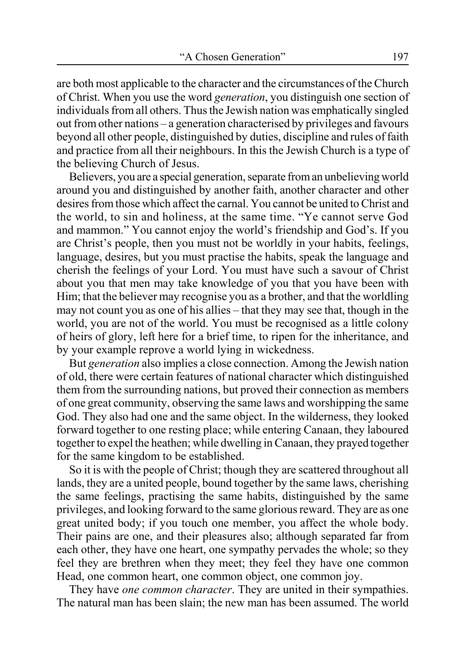are both most applicable to the character and the circumstances of the Church of Christ. When you use the word *generation*, you distinguish one section of individuals from all others. Thus the Jewish nation was emphatically singled out from other nations – a generation characterised by privileges and favours beyond all other people, distinguished by duties, discipline and rules of faith and practice from all their neighbours. In this the Jewish Church is a type of the believing Church of Jesus.

Believers, you are a special generation, separate from an unbelieving world around you and distinguished by another faith, another character and other desires from those which affect the carnal. You cannot be united to Christ and the world, to sin and holiness, at the same time. "Ye cannot serve God and mammon." You cannot enjoy the world's friendship and God's. If you are Christ's people, then you must not be worldly in your habits, feelings, language, desires, but you must practise the habits, speak the language and cherish the feelings of your Lord. You must have such a savour of Christ about you that men may take knowledge of you that you have been with Him; that the believer may recognise you as a brother, and that the worldling may not count you as one of his allies – that they may see that, though in the world, you are not of the world. You must be recognised as a little colony of heirs of glory, left here for a brief time, to ripen for the inheritance, and by your example reprove a world lying in wickedness.

But *generation* also implies a close connection. Among the Jewish nation of old, there were certain features of national character which distinguished them from the surrounding nations, but proved their connection as members of one great community, observing the same laws and worshipping the same God. They also had one and the same object. In the wilderness, they looked forward together to one resting place; while entering Canaan, they laboured together to expel the heathen; while dwelling in Canaan, they prayed together for the same kingdom to be established.

So it is with the people of Christ; though they are scattered throughout all lands, they are a united people, bound together by the same laws, cherishing the same feelings, practising the same habits, distinguished by the same privileges, and looking forward to the same glorious reward. They are as one great united body; if you touch one member, you affect the whole body. Their pains are one, and their pleasures also; although separated far from each other, they have one heart, one sympathy pervades the whole; so they feel they are brethren when they meet; they feel they have one common Head, one common heart, one common object, one common joy.

They have *one common character*. They are united in their sympathies. The natural man has been slain; the new man has been assumed. The world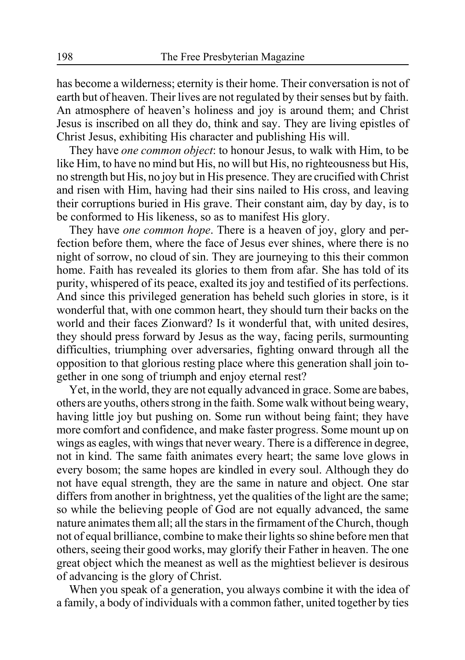has become a wilderness; eternity is their home. Their conversation is not of earth but of heaven. Their lives are not regulated by their senses but by faith. An atmosphere of heaven's holiness and joy is around them; and Christ Jesus is inscribed on all they do, think and say. They are living epistles of Christ Jesus, exhibiting His character and publishing His will.

They have *one common object*: to honour Jesus, to walk with Him, to be like Him, to have no mind but His, no will but His, no righteousness but His, no strength but His, no joy but in His presence. They are crucified with Christ and risen with Him, having had their sins nailed to His cross, and leaving their corruptions buried in His grave. Their constant aim, day by day, is to be conformed to His likeness, so as to manifest His glory.

They have *one common hope*. There is a heaven of joy, glory and perfection before them, where the face of Jesus ever shines, where there is no night of sorrow, no cloud of sin. They are journeying to this their common home. Faith has revealed its glories to them from afar. She has told of its purity, whispered of its peace, exalted its joy and testified of its perfections. And since this privileged generation has beheld such glories in store, is it wonderful that, with one common heart, they should turn their backs on the world and their faces Zionward? Is it wonderful that, with united desires, they should press forward by Jesus as the way, facing perils, surmounting difficulties, triumphing over adversaries, fighting onward through all the opposition to that glorious resting place where this generation shall join together in one song of triumph and enjoy eternal rest?

Yet, in the world, they are not equally advanced in grace. Some are babes, others are youths, others strong in the faith. Some walk without being weary, having little joy but pushing on. Some run without being faint; they have more comfort and confidence, and make faster progress. Some mount up on wings as eagles, with wings that never weary. There is a difference in degree, not in kind. The same faith animates every heart; the same love glows in every bosom; the same hopes are kindled in every soul. Although they do not have equal strength, they are the same in nature and object. One star differs from another in brightness, yet the qualities of the light are the same; so while the believing people of God are not equally advanced, the same nature animates them all; all the stars in the firmament of the Church, though not of equal brilliance, combine to make their lights so shine before men that others, seeing their good works, may glorify their Father in heaven. The one great object which the meanest as well as the mightiest believer is desirous of advancing is the glory of Christ.

When you speak of a generation, you always combine it with the idea of a family, a body of individuals with a common father, united together by ties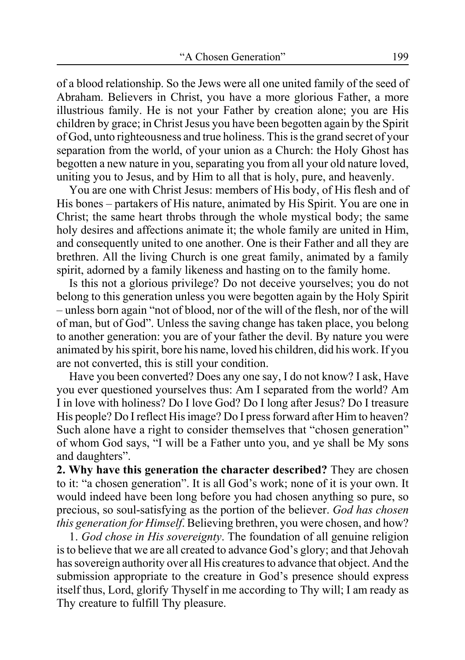of a blood relationship. So the Jews were all one united family of the seed of Abraham. Believers in Christ, you have a more glorious Father, a more illustrious family. He is not your Father by creation alone; you are His children by grace; in Christ Jesus you have been begotten again by the Spirit of God, unto righteousness and true holiness. This is the grand secret of your separation from the world, of your union as a Church: the Holy Ghost has begotten a new nature in you, separating you from all your old nature loved, uniting you to Jesus, and by Him to all that is holy, pure, and heavenly.

You are one with Christ Jesus: members of His body, of His flesh and of His bones – partakers of His nature, animated by His Spirit. You are one in Christ; the same heart throbs through the whole mystical body; the same holy desires and affections animate it; the whole family are united in Him, and consequently united to one another. One is their Father and all they are brethren. All the living Church is one great family, animated by a family spirit, adorned by a family likeness and hasting on to the family home.

Is this not a glorious privilege? Do not deceive yourselves; you do not belong to this generation unless you were begotten again by the Holy Spirit – unless born again "not of blood, nor of the will of the flesh, nor of the will of man, but of God". Unless the saving change has taken place, you belong to another generation: you are of your father the devil. By nature you were animated by his spirit, bore his name, loved his children, did his work. If you are not converted, this is still your condition.

Have you been converted? Does any one say, I do not know? I ask, Have you ever questioned yourselves thus: Am I separated from the world? Am I in love with holiness? Do I love God? Do I long after Jesus? Do I treasure His people? Do I reflect His image? Do I press forward after Him to heaven? Such alone have a right to consider themselves that "chosen generation" of whom God says, "I will be a Father unto you, and ye shall be My sons and daughters".

**2. Why have this generation the character described?** They are chosen to it: "a chosen generation". It is all God's work; none of it is your own. It would indeed have been long before you had chosen anything so pure, so precious, so soul-satisfying as the portion of the believer. *God has chosen this generation for Himself*. Believing brethren, you were chosen, and how?

1. *God chose in His sovereignty*. The foundation of all genuine religion is to believe that we are all created to advance God's glory; and that Jehovah has sovereign authority over all His creatures to advance that object. And the submission appropriate to the creature in God's presence should express itself thus, Lord, glorify Thyself in me according to Thy will; I am ready as Thy creature to fulfill Thy pleasure.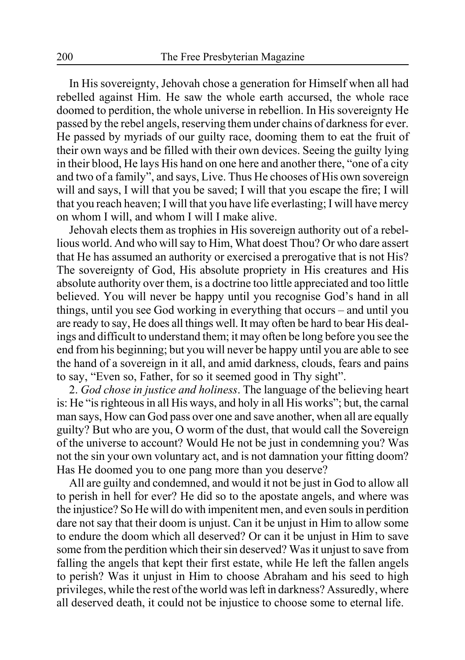In His sovereignty, Jehovah chose a generation for Himself when all had rebelled against Him. He saw the whole earth accursed, the whole race doomed to perdition, the whole universe in rebellion. In His sovereignty He passed by the rebel angels, reserving them under chains of darkness for ever. He passed by myriads of our guilty race, dooming them to eat the fruit of their own ways and be filled with their own devices. Seeing the guilty lying in their blood, He lays His hand on one here and another there, "one of a city and two of a family", and says, Live. Thus He chooses of His own sovereign will and says, I will that you be saved; I will that you escape the fire; I will that you reach heaven; I will that you have life everlasting; I will have mercy on whom I will, and whom I will I make alive.

Jehovah elects them as trophies in His sovereign authority out of a rebellious world. And who will say to Him, What doest Thou? Or who dare assert that He has assumed an authority or exercised a prerogative that is not His? The sovereignty of God, His absolute propriety in His creatures and His absolute authority over them, is a doctrine too little appreciated and too little believed. You will never be happy until you recognise God's hand in all things, until you see God working in everything that occurs – and until you are ready to say, He does all things well. It may often be hard to bear His dealings and difficult to understand them; it may often be long before you see the end from his beginning; but you will never be happy until you are able to see the hand of a sovereign in it all, and amid darkness, clouds, fears and pains to say, "Even so, Father, for so it seemed good in Thy sight".

2. *God chose in justice and holiness*. The language of the believing heart is: He "is righteous in all His ways, and holy in all His works"; but, the carnal man says, How can God pass over one and save another, when all are equally guilty? But who are you, O worm of the dust, that would call the Sovereign of the universe to account? Would He not be just in condemning you? Was not the sin your own voluntary act, and is not damnation your fitting doom? Has He doomed you to one pang more than you deserve?

All are guilty and condemned, and would it not be just in God to allow all to perish in hell for ever? He did so to the apostate angels, and where was the injustice? So He will do with impenitent men, and even souls in perdition dare not say that their doom is unjust. Can it be unjust in Him to allow some to endure the doom which all deserved? Or can it be unjust in Him to save some from the perdition which their sin deserved? Was it unjust to save from falling the angels that kept their first estate, while He left the fallen angels to perish? Was it unjust in Him to choose Abraham and his seed to high privileges, while the rest of the world was left in darkness? Assuredly, where all deserved death, it could not be injustice to choose some to eternal life.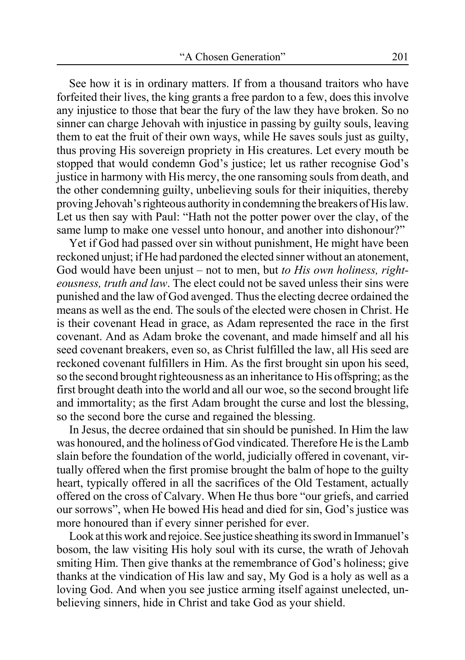See how it is in ordinary matters. If from a thousand traitors who have forfeited their lives, the king grants a free pardon to a few, does this involve any injustice to those that bear the fury of the law they have broken. So no sinner can charge Jehovah with injustice in passing by guilty souls, leaving them to eat the fruit of their own ways, while He saves souls just as guilty, thus proving His sovereign propriety in His creatures. Let every mouth be stopped that would condemn God's justice; let us rather recognise God's justice in harmony with His mercy, the one ransoming souls from death, and the other condemning guilty, unbelieving souls for their iniquities, thereby proving Jehovah's righteous authority in condemning the breakers of His law. Let us then say with Paul: "Hath not the potter power over the clay, of the same lump to make one vessel unto honour, and another into dishonour?"

Yet if God had passed over sin without punishment, He might have been reckoned unjust; if He had pardoned the elected sinner without an atonement, God would have been unjust – not to men, but *to His own holiness, righteousness, truth and law*. The elect could not be saved unless their sins were punished and the law of God avenged. Thus the electing decree ordained the means as well as the end. The souls of the elected were chosen in Christ. He is their covenant Head in grace, as Adam represented the race in the first covenant. And as Adam broke the covenant, and made himself and all his seed covenant breakers, even so, as Christ fulfilled the law, all His seed are reckoned covenant fulfillers in Him. As the first brought sin upon his seed, so the second brought righteousness as an inheritance to His offspring; as the first brought death into the world and all our woe, so the second brought life and immortality; as the first Adam brought the curse and lost the blessing, so the second bore the curse and regained the blessing.

In Jesus, the decree ordained that sin should be punished. In Him the law was honoured, and the holiness of God vindicated. Therefore He is the Lamb slain before the foundation of the world, judicially offered in covenant, virtually offered when the first promise brought the balm of hope to the guilty heart, typically offered in all the sacrifices of the Old Testament, actually offered on the cross of Calvary. When He thus bore "our griefs, and carried our sorrows", when He bowed His head and died for sin, God's justice was more honoured than if every sinner perished for ever.

Look at this work and rejoice. See justice sheathing its sword in Immanuel's bosom, the law visiting His holy soul with its curse, the wrath of Jehovah smiting Him. Then give thanks at the remembrance of God's holiness; give thanks at the vindication of His law and say, My God is a holy as well as a loving God. And when you see justice arming itself against unelected, unbelieving sinners, hide in Christ and take God as your shield.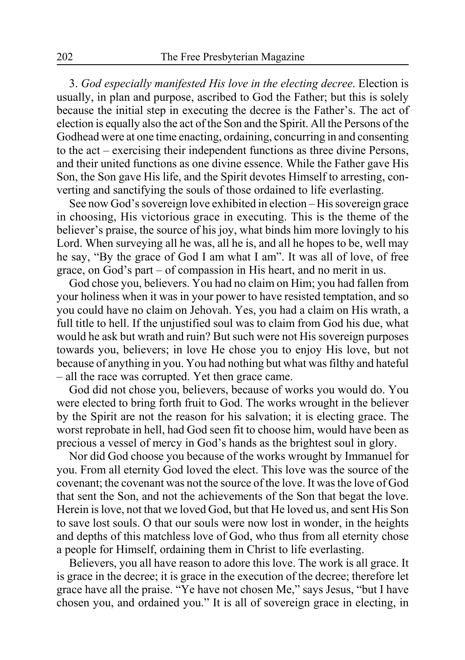3. *God especially manifested His love in the electing decree*. Election is usually, in plan and purpose, ascribed to God the Father; but this is solely because the initial step in executing the decree is the Father's. The act of election is equally also the act of the Son and the Spirit. All the Persons of the Godhead were at one time enacting, ordaining, concurring in and consenting to the act – exercising their independent functions as three divine Persons, and their united functions as one divine essence. While the Father gave His Son, the Son gave His life, and the Spirit devotes Himself to arresting, converting and sanctifying the souls of those ordained to life everlasting.

See now God's sovereign love exhibited in election – His sovereign grace in choosing, His victorious grace in executing. This is the theme of the believer's praise, the source of his joy, what binds him more lovingly to his Lord. When surveying all he was, all he is, and all he hopes to be, well may he say, "By the grace of God I am what I am". It was all of love, of free grace, on God's part – of compassion in His heart, and no merit in us.

God chose you, believers. You had no claim on Him; you had fallen from your holiness when it was in your power to have resisted temptation, and so you could have no claim on Jehovah. Yes, you had a claim on His wrath, a full title to hell. If the unjustified soul was to claim from God his due, what would he ask but wrath and ruin? But such were not His sovereign purposes towards you, believers; in love He chose you to enjoy His love, but not because of anything in you. You had nothing but what was filthy and hateful – all the race was corrupted. Yet then grace came.

God did not chose you, believers, because of works you would do. You were elected to bring forth fruit to God. The works wrought in the believer by the Spirit are not the reason for his salvation; it is electing grace. The worst reprobate in hell, had God seen fit to choose him, would have been as precious a vessel of mercy in God's hands as the brightest soul in glory.

Nor did God choose you because of the works wrought by Immanuel for you. From all eternity God loved the elect. This love was the source of the covenant; the covenant was not the source of the love. It was the love of God that sent the Son, and not the achievements of the Son that begat the love. Herein is love, not that we loved God, but that He loved us, and sent His Son to save lost souls. O that our souls were now lost in wonder, in the heights and depths of this matchless love of God, who thus from all eternity chose a people for Himself, ordaining them in Christ to life everlasting.

Believers, you all have reason to adore this love. The work is all grace. It is grace in the decree; it is grace in the execution of the decree; therefore let grace have all the praise. "Ye have not chosen Me," says Jesus, "but I have chosen you, and ordained you." It is all of sovereign grace in electing, in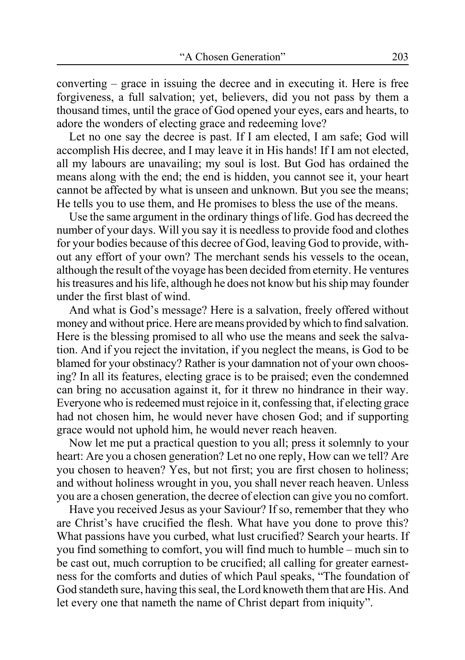converting – grace in issuing the decree and in executing it. Here is free forgiveness, a full salvation; yet, believers, did you not pass by them a thousand times, until the grace of God opened your eyes, ears and hearts, to adore the wonders of electing grace and redeeming love?

Let no one say the decree is past. If I am elected, I am safe; God will accomplish His decree, and I may leave it in His hands! If I am not elected, all my labours are unavailing; my soul is lost. But God has ordained the means along with the end; the end is hidden, you cannot see it, your heart cannot be affected by what is unseen and unknown. But you see the means; He tells you to use them, and He promises to bless the use of the means.

Use the same argument in the ordinary things of life. God has decreed the number of your days. Will you say it is needless to provide food and clothes for your bodies because of this decree of God, leaving God to provide, without any effort of your own? The merchant sends his vessels to the ocean, although the result of the voyage has been decided from eternity. He ventures his treasures and his life, although he does not know but his ship may founder under the first blast of wind.

And what is God's message? Here is a salvation, freely offered without money and without price. Here are means provided by which to find salvation. Here is the blessing promised to all who use the means and seek the salvation. And if you reject the invitation, if you neglect the means, is God to be blamed for your obstinacy? Rather is your damnation not of your own choosing? In all its features, electing grace is to be praised; even the condemned can bring no accusation against it, for it threw no hindrance in their way. Everyone who is redeemed must rejoice in it, confessing that, if electing grace had not chosen him, he would never have chosen God; and if supporting grace would not uphold him, he would never reach heaven.

Now let me put a practical question to you all; press it solemnly to your heart: Are you a chosen generation? Let no one reply, How can we tell? Are you chosen to heaven? Yes, but not first; you are first chosen to holiness; and without holiness wrought in you, you shall never reach heaven. Unless you are a chosen generation, the decree of election can give you no comfort.

Have you received Jesus as your Saviour? If so, remember that they who are Christ's have crucified the flesh. What have you done to prove this? What passions have you curbed, what lust crucified? Search your hearts. If you find something to comfort, you will find much to humble – much sin to be cast out, much corruption to be crucified; all calling for greater earnestness for the comforts and duties of which Paul speaks, "The foundation of God standeth sure, having this seal, the Lord knoweth them that are His. And let every one that nameth the name of Christ depart from iniquity".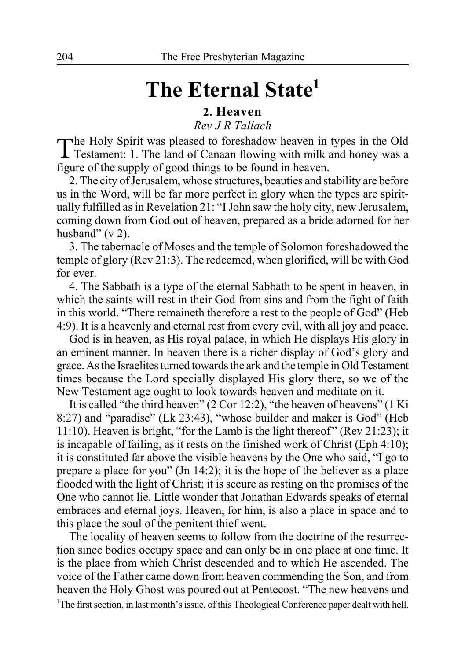# **The Eternal State1**

#### **2. Heaven**

*Rev J R Tallach*

The Holy Spirit was pleased to foreshadow heaven in types in the Old Testament: 1. The land of Canaan flowing with milk and honey was a figure of the supply of good things to be found in heaven.

2. The city of Jerusalem, whose structures, beauties and stability are before us in the Word, will be far more perfect in glory when the types are spiritually fulfilled as in Revelation 21: "I John saw the holy city, new Jerusalem, coming down from God out of heaven, prepared as a bride adorned for her husband"  $(v 2)$ .

3. The tabernacle of Moses and the temple of Solomon foreshadowed the temple of glory (Rev 21:3). The redeemed, when glorified, will be with God for ever.

4. The Sabbath is a type of the eternal Sabbath to be spent in heaven, in which the saints will rest in their God from sins and from the fight of faith in this world. "There remaineth therefore a rest to the people of God" (Heb 4:9). It is a heavenly and eternal rest from every evil, with all joy and peace.

God is in heaven, as His royal palace, in which He displays His glory in an eminent manner. In heaven there is a richer display of God's glory and grace. As the Israelites turned towards the ark and the temple in Old Testament times because the Lord specially displayed His glory there, so we of the New Testament age ought to look towards heaven and meditate on it.

It is called "the third heaven" (2 Cor 12:2), "the heaven of heavens" (1 Ki 8:27) and "paradise" (Lk 23:43), "whose builder and maker is God" (Heb 11:10). Heaven is bright, "for the Lamb is the light thereof" (Rev 21:23); it is incapable of failing, as it rests on the finished work of Christ (Eph 4:10); it is constituted far above the visible heavens by the One who said, "I go to prepare a place for you" (Jn 14:2); it is the hope of the believer as a place flooded with the light of Christ; it is secure as resting on the promises of the One who cannot lie. Little wonder that Jonathan Edwards speaks of eternal embraces and eternal joys. Heaven, for him, is also a place in space and to this place the soul of the penitent thief went.

The locality of heaven seems to follow from the doctrine of the resurrection since bodies occupy space and can only be in one place at one time. It is the place from which Christ descended and to which He ascended. The voice of the Father came down from heaven commending the Son, and from heaven the Holy Ghost was poured out at Pentecost. "The new heavens and <sup>1</sup>The first section, in last month's issue, of this Theological Conference paper dealt with hell.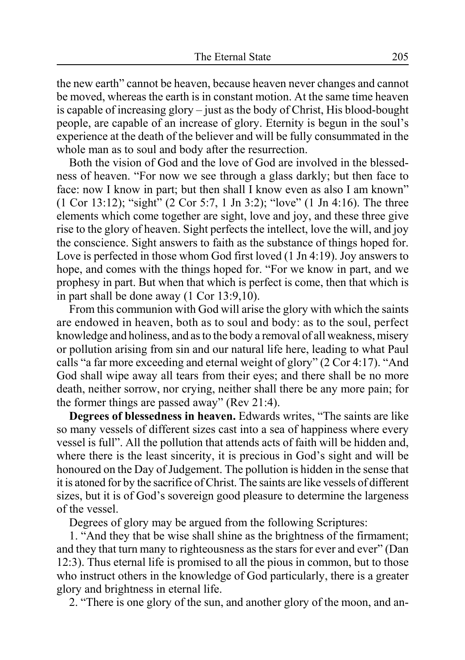the new earth" cannot be heaven, because heaven never changes and cannot be moved, whereas the earth is in constant motion. At the same time heaven is capable of increasing glory – just as the body of Christ, His blood-bought people, are capable of an increase of glory. Eternity is begun in the soul's experience at the death of the believer and will be fully consummated in the whole man as to soul and body after the resurrection.

Both the vision of God and the love of God are involved in the blessedness of heaven. "For now we see through a glass darkly; but then face to face: now I know in part; but then shall I know even as also I am known" (1 Cor 13:12); "sight" (2 Cor 5:7, 1 Jn 3:2); "love" (1 Jn 4:16). The three elements which come together are sight, love and joy, and these three give rise to the glory of heaven. Sight perfects the intellect, love the will, and joy the conscience. Sight answers to faith as the substance of things hoped for. Love is perfected in those whom God first loved (1 Jn 4:19). Joy answers to hope, and comes with the things hoped for. "For we know in part, and we prophesy in part. But when that which is perfect is come, then that which is in part shall be done away (1 Cor 13:9,10).

From this communion with God will arise the glory with which the saints are endowed in heaven, both as to soul and body: as to the soul, perfect knowledge and holiness, and as to the body a removal of all weakness, misery or pollution arising from sin and our natural life here, leading to what Paul calls "a far more exceeding and eternal weight of glory" (2 Cor 4:17). "And God shall wipe away all tears from their eyes; and there shall be no more death, neither sorrow, nor crying, neither shall there be any more pain; for the former things are passed away" (Rev 21:4).

**Degrees of blessedness in heaven.** Edwards writes, "The saints are like so many vessels of different sizes cast into a sea of happiness where every vessel is full". All the pollution that attends acts of faith will be hidden and, where there is the least sincerity, it is precious in God's sight and will be honoured on the Day of Judgement. The pollution is hidden in the sense that it is atoned for by the sacrifice of Christ. The saints are like vessels of different sizes, but it is of God's sovereign good pleasure to determine the largeness of the vessel.

Degrees of glory may be argued from the following Scriptures:

1. "And they that be wise shall shine as the brightness of the firmament; and they that turn many to righteousness as the stars for ever and ever" (Dan 12:3). Thus eternal life is promised to all the pious in common, but to those who instruct others in the knowledge of God particularly, there is a greater glory and brightness in eternal life.

2. "There is one glory of the sun, and another glory of the moon, and an-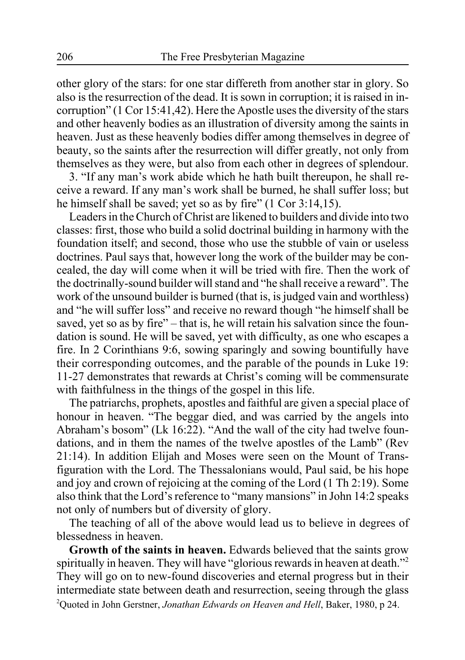other glory of the stars: for one star differeth from another star in glory. So also is the resurrection of the dead. It is sown in corruption; it is raised in incorruption" (1 Cor 15:41,42). Here the Apostle uses the diversity of the stars and other heavenly bodies as an illustration of diversity among the saints in heaven. Just as these heavenly bodies differ among themselves in degree of beauty, so the saints after the resurrection will differ greatly, not only from themselves as they were, but also from each other in degrees of splendour.

3. "If any man's work abide which he hath built thereupon, he shall receive a reward. If any man's work shall be burned, he shall suffer loss; but he himself shall be saved; yet so as by fire" (1 Cor 3:14,15).

Leaders in the Church of Christ are likened to builders and divide into two classes: first, those who build a solid doctrinal building in harmony with the foundation itself; and second, those who use the stubble of vain or useless doctrines. Paul says that, however long the work of the builder may be concealed, the day will come when it will be tried with fire. Then the work of the doctrinally-sound builder will stand and "he shall receive a reward". The work of the unsound builder is burned (that is, is judged vain and worthless) and "he will suffer loss" and receive no reward though "he himself shall be saved, yet so as by fire" – that is, he will retain his salvation since the foundation is sound. He will be saved, yet with difficulty, as one who escapes a fire. In 2 Corinthians 9:6, sowing sparingly and sowing bountifully have their corresponding outcomes, and the parable of the pounds in Luke 19: 11-27 demonstrates that rewards at Christ's coming will be commensurate with faithfulness in the things of the gospel in this life.

The patriarchs, prophets, apostles and faithful are given a special place of honour in heaven. "The beggar died, and was carried by the angels into Abraham's bosom" (Lk 16:22). "And the wall of the city had twelve foundations, and in them the names of the twelve apostles of the Lamb" (Rev 21:14). In addition Elijah and Moses were seen on the Mount of Transfiguration with the Lord. The Thessalonians would, Paul said, be his hope and joy and crown of rejoicing at the coming of the Lord (1 Th 2:19). Some also think that the Lord's reference to "many mansions" in John 14:2 speaks not only of numbers but of diversity of glory.

The teaching of all of the above would lead us to believe in degrees of blessedness in heaven.

**Growth of the saints in heaven.** Edwards believed that the saints grow spiritually in heaven. They will have "glorious rewards in heaven at death."<sup>2</sup> They will go on to new-found discoveries and eternal progress but in their intermediate state between death and resurrection, seeing through the glass 2 Quoted in John Gerstner, *Jonathan Edwards on Heaven and Hell*, Baker, 1980, p 24.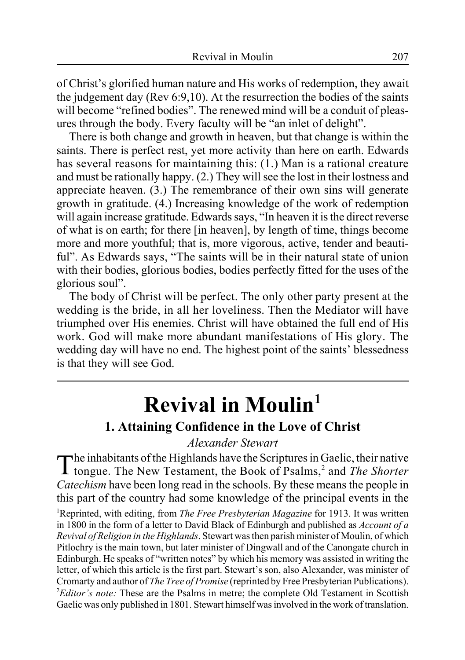of Christ's glorified human nature and His works of redemption, they await the judgement day (Rev 6:9,10). At the resurrection the bodies of the saints will become "refined bodies". The renewed mind will be a conduit of pleasures through the body. Every faculty will be "an inlet of delight".

There is both change and growth in heaven, but that change is within the saints. There is perfect rest, yet more activity than here on earth. Edwards has several reasons for maintaining this: (1.) Man is a rational creature and must be rationally happy. (2.) They will see the lost in their lostness and appreciate heaven. (3.) The remembrance of their own sins will generate growth in gratitude. (4.) Increasing knowledge of the work of redemption will again increase gratitude. Edwards says, "In heaven it is the direct reverse of what is on earth; for there [in heaven], by length of time, things become more and more youthful; that is, more vigorous, active, tender and beautiful". As Edwards says, "The saints will be in their natural state of union with their bodies, glorious bodies, bodies perfectly fitted for the uses of the glorious soul".

The body of Christ will be perfect. The only other party present at the wedding is the bride, in all her loveliness. Then the Mediator will have triumphed over His enemies. Christ will have obtained the full end of His work. God will make more abundant manifestations of His glory. The wedding day will have no end. The highest point of the saints' blessedness is that they will see God.

# **Revival in Moulin1 1. Attaining Confidence in the Love of Christ**

#### *Alexander Stewart*

The inhabitants of the Highlands have the Scriptures in Gaelic, their native tongue. The New Testament, the Book of Psalms,<sup>2</sup> and *The Shorter Catechism* have been long read in the schools. By these means the people in this part of the country had some knowledge of the principal events in the

1 Reprinted, with editing, from *The Free Presbyterian Magazine* for 1913. It was written in 1800 in the form of a letter to David Black of Edinburgh and published as *Account of a Revival of Religion in the Highlands*. Stewart was then parish minister of Moulin, of which Pitlochry is the main town, but later minister of Dingwall and of the Canongate church in Edinburgh. He speaks of "written notes" by which his memory was assisted in writing the letter, of which this article is the first part. Stewart's son, also Alexander, was minister of Cromarty and author of *The Tree of Promise* (reprinted by Free Presbyterian Publications). <sup>2</sup>Editor's note: These are the Psalms in metre; the complete Old Testament in Scottish Gaelic was only published in 1801. Stewart himself was involved in the work of translation.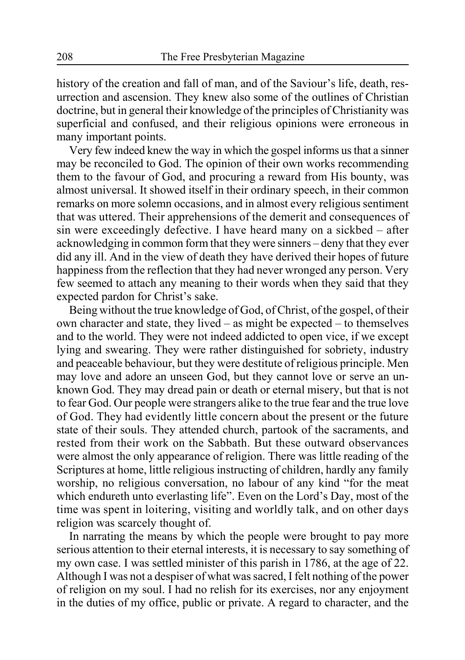history of the creation and fall of man, and of the Saviour's life, death, resurrection and ascension. They knew also some of the outlines of Christian doctrine, but in general their knowledge of the principles of Christianity was superficial and confused, and their religious opinions were erroneous in many important points.

Very few indeed knew the way in which the gospel informs us that a sinner may be reconciled to God. The opinion of their own works recommending them to the favour of God, and procuring a reward from His bounty, was almost universal. It showed itself in their ordinary speech, in their common remarks on more solemn occasions, and in almost every religious sentiment that was uttered. Their apprehensions of the demerit and consequences of sin were exceedingly defective. I have heard many on a sickbed – after acknowledging in common form that they were sinners – deny that they ever did any ill. And in the view of death they have derived their hopes of future happiness from the reflection that they had never wronged any person. Very few seemed to attach any meaning to their words when they said that they expected pardon for Christ's sake.

Being without the true knowledge of God, of Christ, of the gospel, of their own character and state, they lived – as might be expected – to themselves and to the world. They were not indeed addicted to open vice, if we except lying and swearing. They were rather distinguished for sobriety, industry and peaceable behaviour, but they were destitute of religious principle. Men may love and adore an unseen God, but they cannot love or serve an unknown God. They may dread pain or death or eternal misery, but that is not to fear God. Our people were strangers alike to the true fear and the true love of God. They had evidently little concern about the present or the future state of their souls. They attended church, partook of the sacraments, and rested from their work on the Sabbath. But these outward observances were almost the only appearance of religion. There was little reading of the Scriptures at home, little religious instructing of children, hardly any family worship, no religious conversation, no labour of any kind "for the meat which endureth unto everlasting life". Even on the Lord's Day, most of the time was spent in loitering, visiting and worldly talk, and on other days religion was scarcely thought of.

In narrating the means by which the people were brought to pay more serious attention to their eternal interests, it is necessary to say something of my own case. I was settled minister of this parish in 1786, at the age of 22. Although I was not a despiser of what was sacred, I felt nothing of the power of religion on my soul. I had no relish for its exercises, nor any enjoyment in the duties of my office, public or private. A regard to character, and the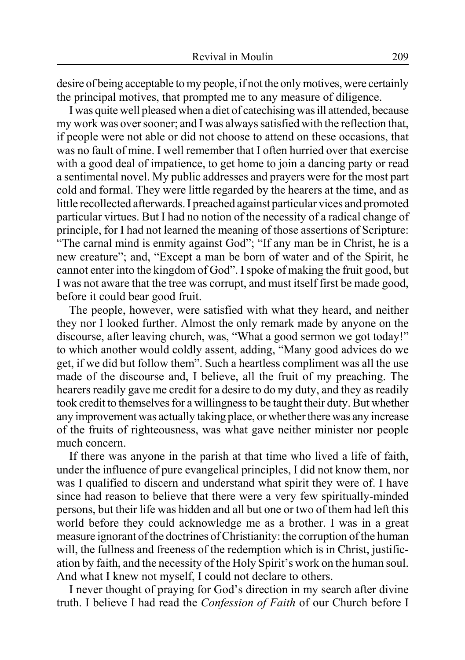desire of being acceptable to my people, if not the only motives, were certainly the principal motives, that prompted me to any measure of diligence.

I was quite well pleased when a diet of catechising was ill attended, because my work was over sooner; and I was always satisfied with the reflection that, if people were not able or did not choose to attend on these occasions, that was no fault of mine. I well remember that I often hurried over that exercise with a good deal of impatience, to get home to join a dancing party or read a sentimental novel. My public addresses and prayers were for the most part cold and formal. They were little regarded by the hearers at the time, and as little recollected afterwards. I preached against particular vices and promoted particular virtues. But I had no notion of the necessity of a radical change of principle, for I had not learned the meaning of those assertions of Scripture: "The carnal mind is enmity against God"; "If any man be in Christ, he is a new creature"; and, "Except a man be born of water and of the Spirit, he cannot enter into the kingdom of God". I spoke of making the fruit good, but I was not aware that the tree was corrupt, and must itself first be made good, before it could bear good fruit.

The people, however, were satisfied with what they heard, and neither they nor I looked further. Almost the only remark made by anyone on the discourse, after leaving church, was, "What a good sermon we got today!" to which another would coldly assent, adding, "Many good advices do we get, if we did but follow them". Such a heartless compliment was all the use made of the discourse and, I believe, all the fruit of my preaching. The hearers readily gave me credit for a desire to do my duty, and they as readily took credit to themselves for a willingness to be taught their duty. But whether any improvement was actually taking place, or whether there was any increase of the fruits of righteousness, was what gave neither minister nor people much concern.

If there was anyone in the parish at that time who lived a life of faith, under the influence of pure evangelical principles, I did not know them, nor was I qualified to discern and understand what spirit they were of. I have since had reason to believe that there were a very few spiritually-minded persons, but their life was hidden and all but one or two of them had left this world before they could acknowledge me as a brother. I was in a great measure ignorant of the doctrines of Christianity: the corruption of the human will, the fullness and freeness of the redemption which is in Christ, justification by faith, and the necessity of the Holy Spirit's work on the human soul. And what I knew not myself, I could not declare to others.

I never thought of praying for God's direction in my search after divine truth. I believe I had read the *Confession of Faith* of our Church before I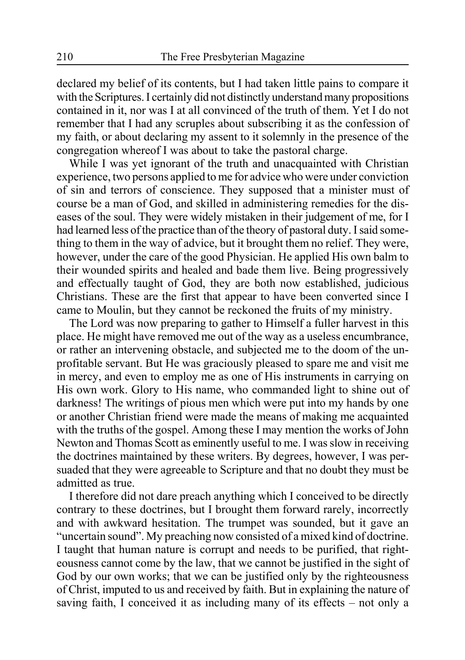declared my belief of its contents, but I had taken little pains to compare it with the Scriptures. I certainly did not distinctly understand many propositions contained in it, nor was I at all convinced of the truth of them. Yet I do not remember that I had any scruples about subscribing it as the confession of my faith, or about declaring my assent to it solemnly in the presence of the congregation whereof I was about to take the pastoral charge.

While I was yet ignorant of the truth and unacquainted with Christian experience, two persons applied to me for advice who were under conviction of sin and terrors of conscience. They supposed that a minister must of course be a man of God, and skilled in administering remedies for the diseases of the soul. They were widely mistaken in their judgement of me, for I had learned less of the practice than of the theory of pastoral duty. I said something to them in the way of advice, but it brought them no relief. They were, however, under the care of the good Physician. He applied His own balm to their wounded spirits and healed and bade them live. Being progressively and effectually taught of God, they are both now established, judicious Christians. These are the first that appear to have been converted since I came to Moulin, but they cannot be reckoned the fruits of my ministry.

The Lord was now preparing to gather to Himself a fuller harvest in this place. He might have removed me out of the way as a useless encumbrance, or rather an intervening obstacle, and subjected me to the doom of the unprofitable servant. But He was graciously pleased to spare me and visit me in mercy, and even to employ me as one of His instruments in carrying on His own work. Glory to His name, who commanded light to shine out of darkness! The writings of pious men which were put into my hands by one or another Christian friend were made the means of making me acquainted with the truths of the gospel. Among these I may mention the works of John Newton and Thomas Scott as eminently useful to me. I was slow in receiving the doctrines maintained by these writers. By degrees, however, I was persuaded that they were agreeable to Scripture and that no doubt they must be admitted as true.

I therefore did not dare preach anything which I conceived to be directly contrary to these doctrines, but I brought them forward rarely, incorrectly and with awkward hesitation. The trumpet was sounded, but it gave an "uncertain sound". My preaching now consisted of a mixed kind of doctrine. I taught that human nature is corrupt and needs to be purified, that righteousness cannot come by the law, that we cannot be justified in the sight of God by our own works; that we can be justified only by the righteousness of Christ, imputed to us and received by faith. But in explaining the nature of saving faith, I conceived it as including many of its effects – not only a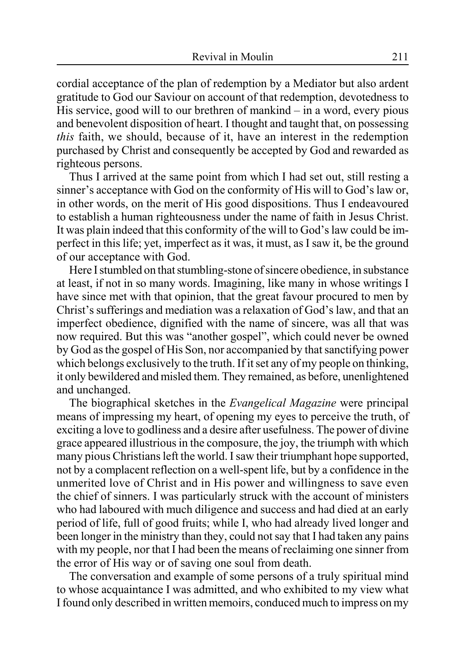cordial acceptance of the plan of redemption by a Mediator but also ardent gratitude to God our Saviour on account of that redemption, devotedness to His service, good will to our brethren of mankind – in a word, every pious and benevolent disposition of heart. I thought and taught that, on possessing *this* faith, we should, because of it, have an interest in the redemption purchased by Christ and consequently be accepted by God and rewarded as righteous persons.

Thus I arrived at the same point from which I had set out, still resting a sinner's acceptance with God on the conformity of His will to God's law or, in other words, on the merit of His good dispositions. Thus I endeavoured to establish a human righteousness under the name of faith in Jesus Christ. It was plain indeed that this conformity of the will to God's law could be imperfect in this life; yet, imperfect as it was, it must, as I saw it, be the ground of our acceptance with God.

Here I stumbled on that stumbling-stone of sincere obedience, in substance at least, if not in so many words. Imagining, like many in whose writings I have since met with that opinion, that the great favour procured to men by Christ's sufferings and mediation was a relaxation of God's law, and that an imperfect obedience, dignified with the name of sincere, was all that was now required. But this was "another gospel", which could never be owned by God as the gospel of His Son, nor accompanied by that sanctifying power which belongs exclusively to the truth. If it set any of my people on thinking, it only bewildered and misled them. They remained, as before, unenlightened and unchanged.

The biographical sketches in the *Evangelical Magazine* were principal means of impressing my heart, of opening my eyes to perceive the truth, of exciting a love to godliness and a desire after usefulness. The power of divine grace appeared illustrious in the composure, the joy, the triumph with which many pious Christians left the world. I saw their triumphant hope supported, not by a complacent reflection on a well-spent life, but by a confidence in the unmerited love of Christ and in His power and willingness to save even the chief of sinners. I was particularly struck with the account of ministers who had laboured with much diligence and success and had died at an early period of life, full of good fruits; while I, who had already lived longer and been longer in the ministry than they, could not say that I had taken any pains with my people, nor that I had been the means of reclaiming one sinner from the error of His way or of saving one soul from death.

The conversation and example of some persons of a truly spiritual mind to whose acquaintance I was admitted, and who exhibited to my view what I found only described in written memoirs, conduced much to impress on my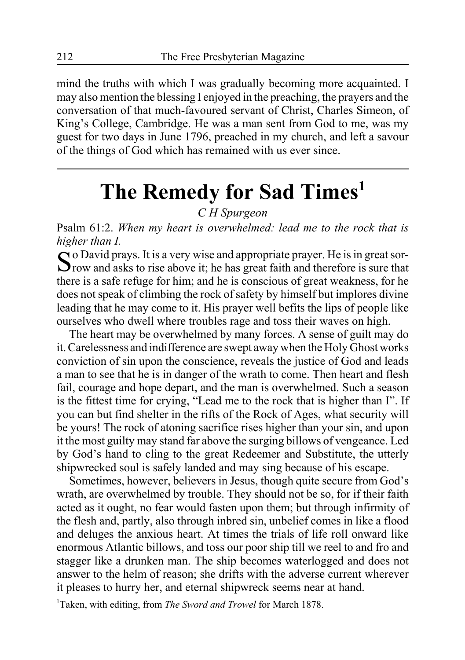mind the truths with which I was gradually becoming more acquainted. I may also mention the blessing I enjoyed in the preaching, the prayers and the conversation of that much-favoured servant of Christ, Charles Simeon, of King's College, Cambridge. He was a man sent from God to me, was my guest for two days in June 1796, preached in my church, and left a savour of the things of God which has remained with us ever since.

# **The Remedy for Sad Times1**

*C H Spurgeon*

Psalm 61:2. *When my heart is overwhelmed: lead me to the rock that is higher than I.*

 $\Omega$  o David prays. It is a very wise and appropriate prayer. He is in great sor- $\sum$  row and asks to rise above it; he has great faith and therefore is sure that there is a safe refuge for him; and he is conscious of great weakness, for he does not speak of climbing the rock of safety by himself but implores divine leading that he may come to it. His prayer well befits the lips of people like ourselves who dwell where troubles rage and toss their waves on high.

The heart may be overwhelmed by many forces. A sense of guilt may do it. Carelessness and indifference are swept away when the Holy Ghost works conviction of sin upon the conscience, reveals the justice of God and leads a man to see that he is in danger of the wrath to come. Then heart and flesh fail, courage and hope depart, and the man is overwhelmed. Such a season is the fittest time for crying, "Lead me to the rock that is higher than I". If you can but find shelter in the rifts of the Rock of Ages, what security will be yours! The rock of atoning sacrifice rises higher than your sin, and upon it the most guilty may stand far above the surging billows of vengeance. Led by God's hand to cling to the great Redeemer and Substitute, the utterly shipwrecked soul is safely landed and may sing because of his escape.

Sometimes, however, believers in Jesus, though quite secure from God's wrath, are overwhelmed by trouble. They should not be so, for if their faith acted as it ought, no fear would fasten upon them; but through infirmity of the flesh and, partly, also through inbred sin, unbelief comes in like a flood and deluges the anxious heart. At times the trials of life roll onward like enormous Atlantic billows, and toss our poor ship till we reel to and fro and stagger like a drunken man. The ship becomes waterlogged and does not answer to the helm of reason; she drifts with the adverse current wherever it pleases to hurry her, and eternal shipwreck seems near at hand.

1 Taken, with editing, from *The Sword and Trowel* for March 1878.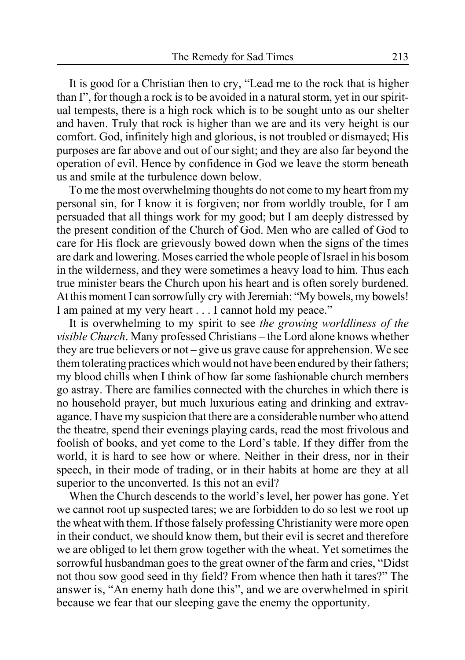It is good for a Christian then to cry, "Lead me to the rock that is higher than I", for though a rock is to be avoided in a natural storm, yet in our spiritual tempests, there is a high rock which is to be sought unto as our shelter and haven. Truly that rock is higher than we are and its very height is our comfort. God, infinitely high and glorious, is not troubled or dismayed; His purposes are far above and out of our sight; and they are also far beyond the operation of evil. Hence by confidence in God we leave the storm beneath us and smile at the turbulence down below.

To me the most overwhelming thoughts do not come to my heart from my personal sin, for I know it is forgiven; nor from worldly trouble, for I am persuaded that all things work for my good; but I am deeply distressed by the present condition of the Church of God. Men who are called of God to care for His flock are grievously bowed down when the signs of the times are dark and lowering. Moses carried the whole people of Israel in his bosom in the wilderness, and they were sometimes a heavy load to him. Thus each true minister bears the Church upon his heart and is often sorely burdened. At this moment I can sorrowfully cry with Jeremiah: "My bowels, my bowels! I am pained at my very heart . . . I cannot hold my peace."

It is overwhelming to my spirit to see *the growing worldliness of the visible Church*. Many professed Christians – the Lord alone knows whether they are true believers or not – give us grave cause for apprehension. We see them tolerating practices which would not have been endured by their fathers; my blood chills when I think of how far some fashionable church members go astray. There are families connected with the churches in which there is no household prayer, but much luxurious eating and drinking and extravagance. I have my suspicion that there are a considerable number who attend the theatre, spend their evenings playing cards, read the most frivolous and foolish of books, and yet come to the Lord's table. If they differ from the world, it is hard to see how or where. Neither in their dress, nor in their speech, in their mode of trading, or in their habits at home are they at all superior to the unconverted. Is this not an evil?

When the Church descends to the world's level, her power has gone. Yet we cannot root up suspected tares; we are forbidden to do so lest we root up the wheat with them. If those falsely professing Christianity were more open in their conduct, we should know them, but their evil is secret and therefore we are obliged to let them grow together with the wheat. Yet sometimes the sorrowful husbandman goes to the great owner of the farm and cries, "Didst not thou sow good seed in thy field? From whence then hath it tares?" The answer is, "An enemy hath done this", and we are overwhelmed in spirit because we fear that our sleeping gave the enemy the opportunity.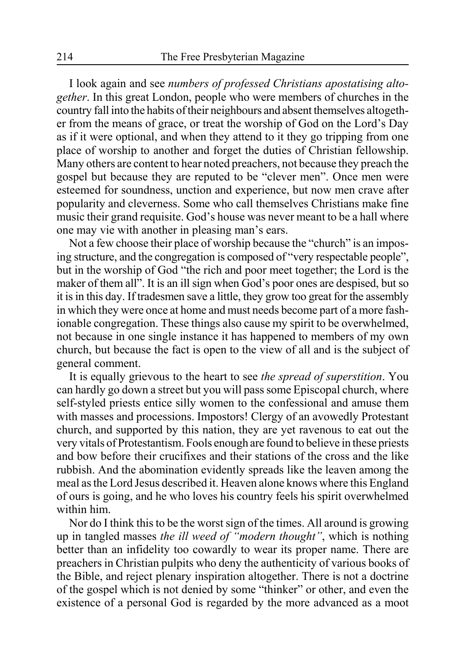I look again and see *numbers of professed Christians apostatising altogether*. In this great London, people who were members of churches in the country fall into the habits of their neighbours and absent themselves altogether from the means of grace, or treat the worship of God on the Lord's Day as if it were optional, and when they attend to it they go tripping from one place of worship to another and forget the duties of Christian fellowship. Many others are content to hear noted preachers, not because they preach the gospel but because they are reputed to be "clever men". Once men were esteemed for soundness, unction and experience, but now men crave after popularity and cleverness. Some who call themselves Christians make fine music their grand requisite. God's house was never meant to be a hall where one may vie with another in pleasing man's ears.

Not a few choose their place of worship because the "church" is an imposing structure, and the congregation is composed of "very respectable people", but in the worship of God "the rich and poor meet together; the Lord is the maker of them all". It is an ill sign when God's poor ones are despised, but so it is in this day. If tradesmen save a little, they grow too great for the assembly in which they were once at home and must needs become part of a more fashionable congregation. These things also cause my spirit to be overwhelmed, not because in one single instance it has happened to members of my own church, but because the fact is open to the view of all and is the subject of general comment.

It is equally grievous to the heart to see *the spread of superstition*. You can hardly go down a street but you will pass some Episcopal church, where self-styled priests entice silly women to the confessional and amuse them with masses and processions. Impostors! Clergy of an avowedly Protestant church, and supported by this nation, they are yet ravenous to eat out the very vitals of Protestantism. Fools enough are found to believe in these priests and bow before their crucifixes and their stations of the cross and the like rubbish. And the abomination evidently spreads like the leaven among the meal as the Lord Jesus described it. Heaven alone knows where this England of ours is going, and he who loves his country feels his spirit overwhelmed within him.

Nor do I think this to be the worst sign of the times. All around is growing up in tangled masses *the ill weed of "modern thought"*, which is nothing better than an infidelity too cowardly to wear its proper name. There are preachers in Christian pulpits who deny the authenticity of various books of the Bible, and reject plenary inspiration altogether. There is not a doctrine of the gospel which is not denied by some "thinker" or other, and even the existence of a personal God is regarded by the more advanced as a moot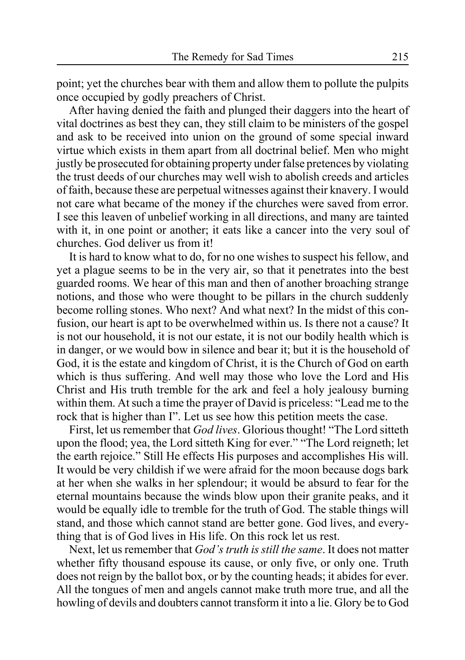point; yet the churches bear with them and allow them to pollute the pulpits once occupied by godly preachers of Christ.

After having denied the faith and plunged their daggers into the heart of vital doctrines as best they can, they still claim to be ministers of the gospel and ask to be received into union on the ground of some special inward virtue which exists in them apart from all doctrinal belief. Men who might justly be prosecuted for obtaining property under false pretences by violating the trust deeds of our churches may well wish to abolish creeds and articles of faith, because these are perpetual witnesses against their knavery. I would not care what became of the money if the churches were saved from error. I see this leaven of unbelief working in all directions, and many are tainted with it, in one point or another; it eats like a cancer into the very soul of churches. God deliver us from it!

It is hard to know what to do, for no one wishes to suspect his fellow, and yet a plague seems to be in the very air, so that it penetrates into the best guarded rooms. We hear of this man and then of another broaching strange notions, and those who were thought to be pillars in the church suddenly become rolling stones. Who next? And what next? In the midst of this confusion, our heart is apt to be overwhelmed within us. Is there not a cause? It is not our household, it is not our estate, it is not our bodily health which is in danger, or we would bow in silence and bear it; but it is the household of God, it is the estate and kingdom of Christ, it is the Church of God on earth which is thus suffering. And well may those who love the Lord and His Christ and His truth tremble for the ark and feel a holy jealousy burning within them. At such a time the prayer of David is priceless: "Lead me to the rock that is higher than I". Let us see how this petition meets the case.

First, let us remember that *God lives*. Glorious thought! "The Lord sitteth upon the flood; yea, the Lord sitteth King for ever." "The Lord reigneth; let the earth rejoice." Still He effects His purposes and accomplishes His will. It would be very childish if we were afraid for the moon because dogs bark at her when she walks in her splendour; it would be absurd to fear for the eternal mountains because the winds blow upon their granite peaks, and it would be equally idle to tremble for the truth of God. The stable things will stand, and those which cannot stand are better gone. God lives, and everything that is of God lives in His life. On this rock let us rest.

Next, let us remember that *God's truth is still the same*. It does not matter whether fifty thousand espouse its cause, or only five, or only one. Truth does not reign by the ballot box, or by the counting heads; it abides for ever. All the tongues of men and angels cannot make truth more true, and all the howling of devils and doubters cannot transform it into a lie. Glory be to God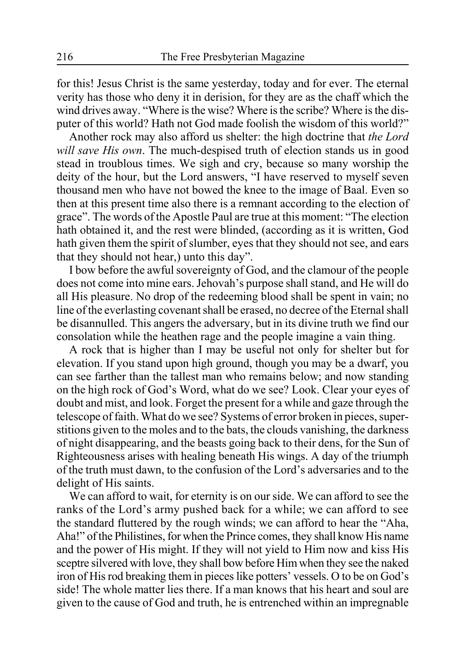for this! Jesus Christ is the same yesterday, today and for ever. The eternal verity has those who deny it in derision, for they are as the chaff which the wind drives away. "Where is the wise? Where is the scribe? Where is the disputer of this world? Hath not God made foolish the wisdom of this world?"

Another rock may also afford us shelter: the high doctrine that *the Lord will save His own*. The much-despised truth of election stands us in good stead in troublous times. We sigh and cry, because so many worship the deity of the hour, but the Lord answers, "I have reserved to myself seven thousand men who have not bowed the knee to the image of Baal. Even so then at this present time also there is a remnant according to the election of grace". The words of the Apostle Paul are true at this moment: "The election hath obtained it, and the rest were blinded, (according as it is written, God hath given them the spirit of slumber, eyes that they should not see, and ears that they should not hear,) unto this day".

I bow before the awful sovereignty of God, and the clamour of the people does not come into mine ears. Jehovah's purpose shall stand, and He will do all His pleasure. No drop of the redeeming blood shall be spent in vain; no line of the everlasting covenant shall be erased, no decree of the Eternal shall be disannulled. This angers the adversary, but in its divine truth we find our consolation while the heathen rage and the people imagine a vain thing.

A rock that is higher than I may be useful not only for shelter but for elevation. If you stand upon high ground, though you may be a dwarf, you can see farther than the tallest man who remains below; and now standing on the high rock of God's Word, what do we see? Look. Clear your eyes of doubt and mist, and look. Forget the present for a while and gaze through the telescope of faith. What do we see? Systems of error broken in pieces, superstitions given to the moles and to the bats, the clouds vanishing, the darkness of night disappearing, and the beasts going back to their dens, for the Sun of Righteousness arises with healing beneath His wings. A day of the triumph of the truth must dawn, to the confusion of the Lord's adversaries and to the delight of His saints.

We can afford to wait, for eternity is on our side. We can afford to see the ranks of the Lord's army pushed back for a while; we can afford to see the standard fluttered by the rough winds; we can afford to hear the "Aha, Aha!" of the Philistines, for when the Prince comes, they shall know His name and the power of His might. If they will not yield to Him now and kiss His sceptre silvered with love, they shall bow before Him when they see the naked iron of His rod breaking them in pieces like potters' vessels. O to be on God's side! The whole matter lies there. If a man knows that his heart and soul are given to the cause of God and truth, he is entrenched within an impregnable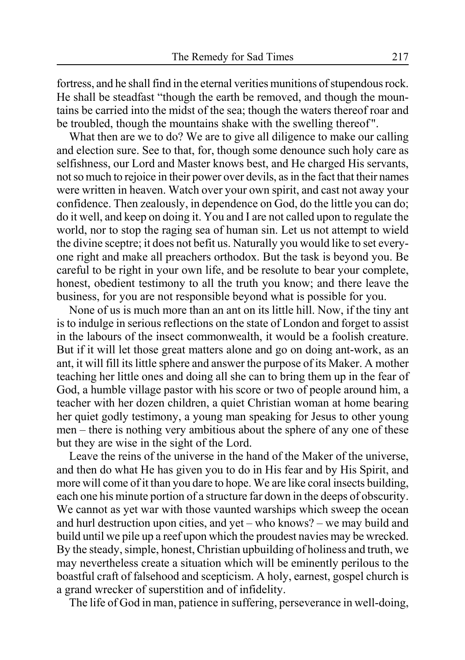fortress, and he shall find in the eternal verities munitions of stupendous rock. He shall be steadfast "though the earth be removed, and though the mountains be carried into the midst of the sea; though the waters thereof roar and be troubled, though the mountains shake with the swelling thereof".

What then are we to do? We are to give all diligence to make our calling and election sure. See to that, for, though some denounce such holy care as selfishness, our Lord and Master knows best, and He charged His servants, not so much to rejoice in their power over devils, as in the fact that their names were written in heaven. Watch over your own spirit, and cast not away your confidence. Then zealously, in dependence on God, do the little you can do; do it well, and keep on doing it. You and I are not called upon to regulate the world, nor to stop the raging sea of human sin. Let us not attempt to wield the divine sceptre; it does not befit us. Naturally you would like to set everyone right and make all preachers orthodox. But the task is beyond you. Be careful to be right in your own life, and be resolute to bear your complete, honest, obedient testimony to all the truth you know; and there leave the business, for you are not responsible beyond what is possible for you.

None of us is much more than an ant on its little hill. Now, if the tiny ant is to indulge in serious reflections on the state of London and forget to assist in the labours of the insect commonwealth, it would be a foolish creature. But if it will let those great matters alone and go on doing ant-work, as an ant, it will fill its little sphere and answer the purpose of its Maker. A mother teaching her little ones and doing all she can to bring them up in the fear of God, a humble village pastor with his score or two of people around him, a teacher with her dozen children, a quiet Christian woman at home bearing her quiet godly testimony, a young man speaking for Jesus to other young men – there is nothing very ambitious about the sphere of any one of these but they are wise in the sight of the Lord.

Leave the reins of the universe in the hand of the Maker of the universe, and then do what He has given you to do in His fear and by His Spirit, and more will come of it than you dare to hope. We are like coral insects building, each one his minute portion of a structure far down in the deeps of obscurity. We cannot as yet war with those vaunted warships which sweep the ocean and hurl destruction upon cities, and yet – who knows? – we may build and build until we pile up a reef upon which the proudest navies may be wrecked. By the steady, simple, honest, Christian upbuilding of holiness and truth, we may nevertheless create a situation which will be eminently perilous to the boastful craft of falsehood and scepticism. A holy, earnest, gospel church is a grand wrecker of superstition and of infidelity.

The life of God in man, patience in suffering, perseverance in well-doing,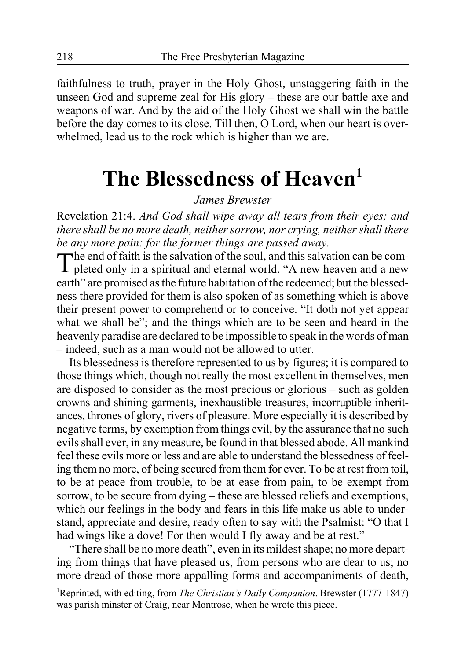faithfulness to truth, prayer in the Holy Ghost, unstaggering faith in the unseen God and supreme zeal for His glory – these are our battle axe and weapons of war. And by the aid of the Holy Ghost we shall win the battle before the day comes to its close. Till then, O Lord, when our heart is overwhelmed, lead us to the rock which is higher than we are.

# **The Blessedness of Heaven1**

*James Brewster*

Revelation 21:4. *And God shall wipe away all tears from their eyes; and there shall be no more death, neither sorrow, nor crying, neither shall there be any more pain: for the former things are passed away*.

The end of faith is the salvation of the soul, and this salvation can be com-pleted only in a spiritual and eternal world. "A new heaven and a new earth" are promised as the future habitation of the redeemed; but the blessedness there provided for them is also spoken of as something which is above their present power to comprehend or to conceive. "It doth not yet appear what we shall be"; and the things which are to be seen and heard in the heavenly paradise are declared to be impossible to speak in the words of man – indeed, such as a man would not be allowed to utter.

Its blessedness is therefore represented to us by figures; it is compared to those things which, though not really the most excellent in themselves, men are disposed to consider as the most precious or glorious – such as golden crowns and shining garments, inexhaustible treasures, incorruptible inheritances, thrones of glory, rivers of pleasure. More especially it is described by negative terms, by exemption from things evil, by the assurance that no such evils shall ever, in any measure, be found in that blessed abode. All mankind feel these evils more or less and are able to understand the blessedness of feeling them no more, of being secured from them for ever. To be at rest from toil, to be at peace from trouble, to be at ease from pain, to be exempt from sorrow, to be secure from dying – these are blessed reliefs and exemptions, which our feelings in the body and fears in this life make us able to understand, appreciate and desire, ready often to say with the Psalmist: "O that I had wings like a dove! For then would I fly away and be at rest."

"There shall be no more death", even in its mildest shape; no more departing from things that have pleased us, from persons who are dear to us; no more dread of those more appalling forms and accompaniments of death,

1 Reprinted, with editing, from *The Christian's Daily Companion*. Brewster (1777-1847) was parish minster of Craig, near Montrose, when he wrote this piece.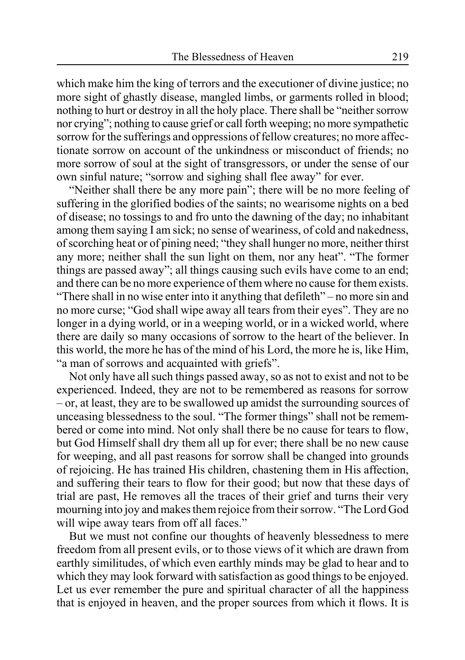which make him the king of terrors and the executioner of divine justice; no more sight of ghastly disease, mangled limbs, or garments rolled in blood; nothing to hurt or destroy in all the holy place. There shall be "neither sorrow nor crying"; nothing to cause grief or call forth weeping; no more sympathetic sorrow for the sufferings and oppressions of fellow creatures; no more affectionate sorrow on account of the unkindness or misconduct of friends; no more sorrow of soul at the sight of transgressors, or under the sense of our own sinful nature; "sorrow and sighing shall flee away" for ever.

"Neither shall there be any more pain"; there will be no more feeling of suffering in the glorified bodies of the saints; no wearisome nights on a bed of disease; no tossings to and fro unto the dawning of the day; no inhabitant among them saying I am sick; no sense of weariness, of cold and nakedness, of scorching heat or of pining need; "they shall hunger no more, neither thirst any more; neither shall the sun light on them, nor any heat". "The former things are passed away"; all things causing such evils have come to an end; and there can be no more experience of them where no cause for them exists. "There shall in no wise enter into it anything that defileth" – no more sin and no more curse; "God shall wipe away all tears from their eyes". They are no longer in a dying world, or in a weeping world, or in a wicked world, where there are daily so many occasions of sorrow to the heart of the believer. In this world, the more he has of the mind of his Lord, the more he is, like Him, "a man of sorrows and acquainted with griefs".

Not only have all such things passed away, so as not to exist and not to be experienced. Indeed, they are not to be remembered as reasons for sorrow – or, at least, they are to be swallowed up amidst the surrounding sources of unceasing blessedness to the soul. "The former things" shall not be remembered or come into mind. Not only shall there be no cause for tears to flow, but God Himself shall dry them all up for ever; there shall be no new cause for weeping, and all past reasons for sorrow shall be changed into grounds of rejoicing. He has trained His children, chastening them in His affection, and suffering their tears to flow for their good; but now that these days of trial are past, He removes all the traces of their grief and turns their very mourning into joy and makes them rejoice from their sorrow. "The Lord God will wipe away tears from off all faces."

But we must not confine our thoughts of heavenly blessedness to mere freedom from all present evils, or to those views of it which are drawn from earthly similitudes, of which even earthly minds may be glad to hear and to which they may look forward with satisfaction as good things to be enjoyed. Let us ever remember the pure and spiritual character of all the happiness that is enjoyed in heaven, and the proper sources from which it flows. It is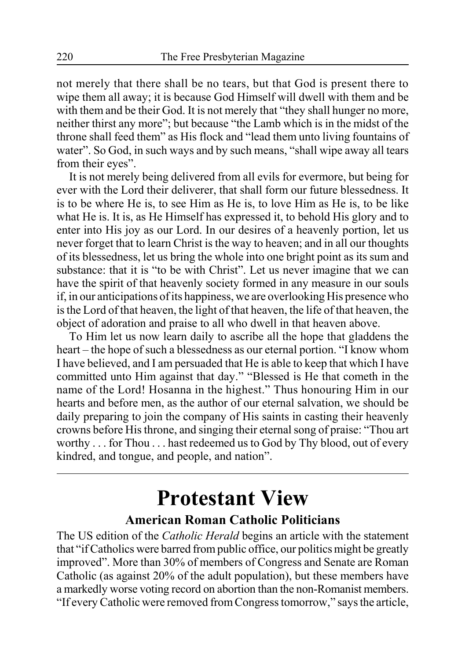not merely that there shall be no tears, but that God is present there to wipe them all away; it is because God Himself will dwell with them and be with them and be their God. It is not merely that "they shall hunger no more, neither thirst any more"; but because "the Lamb which is in the midst of the throne shall feed them" as His flock and "lead them unto living fountains of water". So God, in such ways and by such means, "shall wipe away all tears from their eyes".

It is not merely being delivered from all evils for evermore, but being for ever with the Lord their deliverer, that shall form our future blessedness. It is to be where He is, to see Him as He is, to love Him as He is, to be like what He is. It is, as He Himself has expressed it, to behold His glory and to enter into His joy as our Lord. In our desires of a heavenly portion, let us never forget that to learn Christ is the way to heaven; and in all our thoughts of its blessedness, let us bring the whole into one bright point as its sum and substance: that it is "to be with Christ". Let us never imagine that we can have the spirit of that heavenly society formed in any measure in our souls if, in our anticipations of its happiness, we are overlooking His presence who is the Lord of that heaven, the light of that heaven, the life of that heaven, the object of adoration and praise to all who dwell in that heaven above.

To Him let us now learn daily to ascribe all the hope that gladdens the heart – the hope of such a blessedness as our eternal portion. "I know whom I have believed, and I am persuaded that He is able to keep that which I have committed unto Him against that day." "Blessed is He that cometh in the name of the Lord! Hosanna in the highest." Thus honouring Him in our hearts and before men, as the author of our eternal salvation, we should be daily preparing to join the company of His saints in casting their heavenly crowns before His throne, and singing their eternal song of praise: "Thou art worthy . . . for Thou . . . hast redeemed us to God by Thy blood, out of every kindred, and tongue, and people, and nation".

### **Protestant View American Roman Catholic Politicians**

The US edition of the *Catholic Herald* begins an article with the statement that "if Catholics were barred from public office, our politics might be greatly improved". More than 30% of members of Congress and Senate are Roman Catholic (as against 20% of the adult population), but these members have a markedly worse voting record on abortion than the non-Romanist members. "If every Catholic were removed from Congress tomorrow," says the article,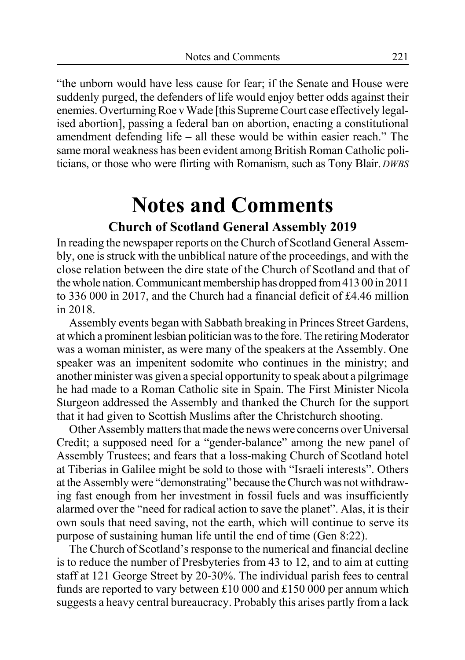"the unborn would have less cause for fear; if the Senate and House were suddenly purged, the defenders of life would enjoy better odds against their enemies. Overturning Roe v Wade [this Supreme Court case effectively legalised abortion], passing a federal ban on abortion, enacting a constitutional amendment defending life – all these would be within easier reach." The same moral weakness has been evident among British Roman Catholic politicians, or those who were flirting with Romanism, such as Tony Blair. *DWBS*

### **Notes and Comments Church of Scotland General Assembly 2019**

In reading the newspaper reports on the Church of Scotland General Assembly, one is struck with the unbiblical nature of the proceedings, and with the close relation between the dire state of the Church of Scotland and that of the whole nation. Communicant membership has dropped from 413 00 in 2011 to 336 000 in 2017, and the Church had a financial deficit of £4.46 million in 2018.

Assembly events began with Sabbath breaking in Princes Street Gardens, at which a prominent lesbian politician was to the fore. The retiring Moderator was a woman minister, as were many of the speakers at the Assembly. One speaker was an impenitent sodomite who continues in the ministry; and another minister was given a special opportunity to speak about a pilgrimage he had made to a Roman Catholic site in Spain. The First Minister Nicola Sturgeon addressed the Assembly and thanked the Church for the support that it had given to Scottish Muslims after the Christchurch shooting.

Other Assembly matters that made the news were concerns over Universal Credit; a supposed need for a "gender-balance" among the new panel of Assembly Trustees; and fears that a loss-making Church of Scotland hotel at Tiberias in Galilee might be sold to those with "Israeli interests". Others at the Assembly were "demonstrating" because the Church was not withdrawing fast enough from her investment in fossil fuels and was insufficiently alarmed over the "need for radical action to save the planet". Alas, it is their own souls that need saving, not the earth, which will continue to serve its purpose of sustaining human life until the end of time (Gen 8:22).

The Church of Scotland's response to the numerical and financial decline is to reduce the number of Presbyteries from 43 to 12, and to aim at cutting staff at 121 George Street by 20-30%. The individual parish fees to central funds are reported to vary between £10 000 and £150 000 per annum which suggests a heavy central bureaucracy. Probably this arises partly from a lack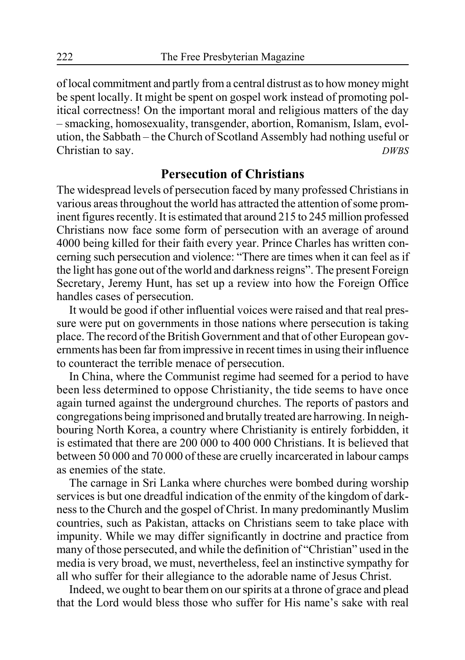of local commitment and partly from a central distrust as to how money might be spent locally. It might be spent on gospel work instead of promoting political correctness! On the important moral and religious matters of the day – smacking, homosexuality, transgender, abortion, Romanism, Islam, evolution, the Sabbath – the Church of Scotland Assembly had nothing useful or Christian to say. *DWBS*

#### **Persecution of Christians**

The widespread levels of persecution faced by many professed Christians in various areas throughout the world has attracted the attention of some prominent figures recently. It is estimated that around 215 to 245 million professed Christians now face some form of persecution with an average of around 4000 being killed for their faith every year. Prince Charles has written concerning such persecution and violence: "There are times when it can feel as if the light has gone out of the world and darkness reigns". The present Foreign Secretary, Jeremy Hunt, has set up a review into how the Foreign Office handles cases of persecution.

It would be good if other influential voices were raised and that real pressure were put on governments in those nations where persecution is taking place. The record of the British Government and that of other European governments has been far from impressive in recent times in using their influence to counteract the terrible menace of persecution.

In China, where the Communist regime had seemed for a period to have been less determined to oppose Christianity, the tide seems to have once again turned against the underground churches. The reports of pastors and congregations being imprisoned and brutally treated are harrowing. In neighbouring North Korea, a country where Christianity is entirely forbidden, it is estimated that there are 200 000 to 400 000 Christians. It is believed that between 50 000 and 70 000 of these are cruelly incarcerated in labour camps as enemies of the state.

The carnage in Sri Lanka where churches were bombed during worship services is but one dreadful indication of the enmity of the kingdom of darkness to the Church and the gospel of Christ. In many predominantly Muslim countries, such as Pakistan, attacks on Christians seem to take place with impunity. While we may differ significantly in doctrine and practice from many of those persecuted, and while the definition of "Christian" used in the media is very broad, we must, nevertheless, feel an instinctive sympathy for all who suffer for their allegiance to the adorable name of Jesus Christ.

Indeed, we ought to bear them on our spirits at a throne of grace and plead that the Lord would bless those who suffer for His name's sake with real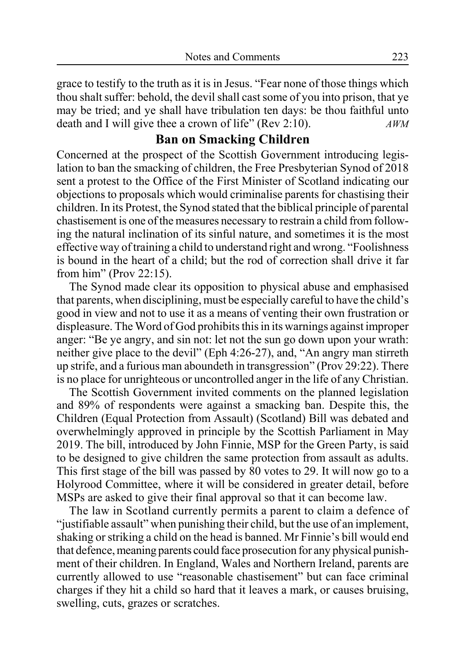grace to testify to the truth as it is in Jesus. "Fear none of those things which thou shalt suffer: behold, the devil shall cast some of you into prison, that ye may be tried; and ye shall have tribulation ten days: be thou faithful unto death and I will give thee a crown of life" (Rev 2:10). *AWM*

#### **Ban on Smacking Children**

Concerned at the prospect of the Scottish Government introducing legislation to ban the smacking of children, the Free Presbyterian Synod of 2018 sent a protest to the Office of the First Minister of Scotland indicating our objections to proposals which would criminalise parents for chastising their children. In its Protest, the Synod stated that the biblical principle of parental chastisement is one of the measures necessary to restrain a child from following the natural inclination of its sinful nature, and sometimes it is the most effective way of training a child to understand right and wrong. "Foolishness is bound in the heart of a child; but the rod of correction shall drive it far from him" (Prov 22:15).

The Synod made clear its opposition to physical abuse and emphasised that parents, when disciplining, must be especially careful to have the child's good in view and not to use it as a means of venting their own frustration or displeasure. The Word of God prohibits this in its warnings against improper anger: "Be ye angry, and sin not: let not the sun go down upon your wrath: neither give place to the devil" (Eph 4:26-27), and, "An angry man stirreth up strife, and a furious man aboundeth in transgression" (Prov 29:22). There is no place for unrighteous or uncontrolled anger in the life of any Christian.

The Scottish Government invited comments on the planned legislation and 89% of respondents were against a smacking ban. Despite this, the Children (Equal Protection from Assault) (Scotland) Bill was debated and overwhelmingly approved in principle by the Scottish Parliament in May 2019. The bill, introduced by John Finnie, MSP for the Green Party, is said to be designed to give children the same protection from assault as adults. This first stage of the bill was passed by 80 votes to 29. It will now go to a Holyrood Committee, where it will be considered in greater detail, before MSPs are asked to give their final approval so that it can become law.

The law in Scotland currently permits a parent to claim a defence of "justifiable assault" when punishing their child, but the use of an implement, shaking or striking a child on the head is banned. Mr Finnie's bill would end that defence, meaning parents could face prosecution for any physical punishment of their children. In England, Wales and Northern Ireland, parents are currently allowed to use "reasonable chastisement" but can face criminal charges if they hit a child so hard that it leaves a mark, or causes bruising, swelling, cuts, grazes or scratches.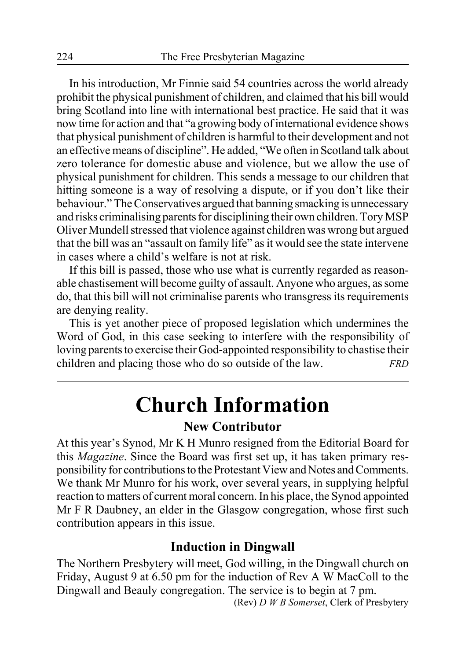In his introduction, Mr Finnie said 54 countries across the world already prohibit the physical punishment of children, and claimed that his bill would bring Scotland into line with international best practice. He said that it was now time for action and that "a growing body of international evidence shows that physical punishment of children is harmful to their development and not an effective means of discipline". He added, "We often in Scotland talk about zero tolerance for domestic abuse and violence, but we allow the use of physical punishment for children. This sends a message to our children that hitting someone is a way of resolving a dispute, or if you don't like their behaviour." The Conservatives argued that banning smacking is unnecessary and risks criminalising parents for disciplining their own children. Tory MSP Oliver Mundell stressed that violence against children was wrong but argued that the bill was an "assault on family life" as it would see the state intervene in cases where a child's welfare is not at risk.

If this bill is passed, those who use what is currently regarded as reasonable chastisement will become guilty of assault. Anyone who argues, as some do, that this bill will not criminalise parents who transgress its requirements are denying reality.

This is yet another piece of proposed legislation which undermines the Word of God, in this case seeking to interfere with the responsibility of loving parents to exercise their God-appointed responsibility to chastise their children and placing those who do so outside of the law. *FRD*

# **Church Information**

#### **New Contributor**

At this year's Synod, Mr K H Munro resigned from the Editorial Board for this *Magazine*. Since the Board was first set up, it has taken primary responsibility for contributions to the Protestant View and Notes and Comments. We thank Mr Munro for his work, over several years, in supplying helpful reaction to matters of current moral concern. In his place, the Synod appointed Mr F R Daubney, an elder in the Glasgow congregation, whose first such contribution appears in this issue.

#### **Induction in Dingwall**

The Northern Presbytery will meet, God willing, in the Dingwall church on Friday, August 9 at 6.50 pm for the induction of Rev A W MacColl to the Dingwall and Beauly congregation. The service is to begin at 7 pm.

(Rev) *D W B Somerset*, Clerk of Presbytery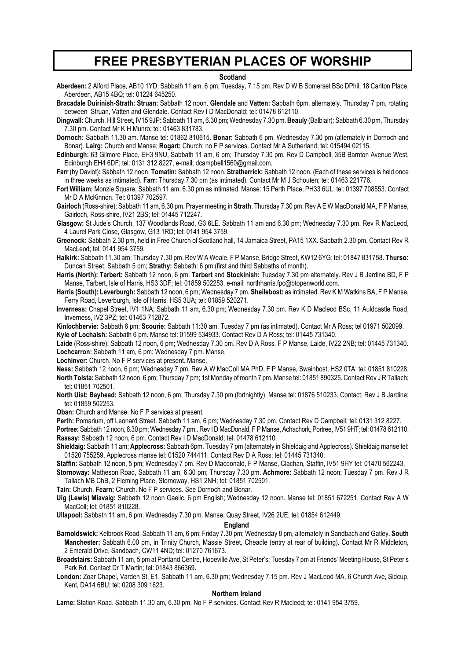#### **FREE PRESBYTERIAN PLACES OF WORSHIP**

#### **Scotland**

**Aberdeen:** 2 Alford Place, AB10 1YD, Sabbath 11 am, 6 pm; Tuesday, 7.15 pm. Rev D W B Somerset BSc DPhil, 18 Carlton Place, Aberdeen, AB15 4BQ; tel: 01224 645250.

**Bracadale Duirinish-Strath: Struan:** Sabbath 12 noon. **Glendale** and **Vatten:** Sabbath 6pm, alternately. Thursday 7 pm, rotating between Struan, Vatten and Glendale. Contact Rev I D MacDonald; tel: 01478 612110.

**Dingwall:** Church, Hill Street, IV15 9JP: Sabbath 11 am, 6.30 pm; Wednesday 7.30 pm. **Beauly** (Balblair): Sabbath 6.30 pm, Thursday 7.30 pm. Contact Mr K H Munro; tel: 01463 831783.

- **Dornoch:** Sabbath 11.30 am. Manse tel: 01862 810615. **Bonar:** Sabbath 6 pm. Wednesday 7.30 pm (alternately in Dornoch and Bonar). **Lairg:** Church and Manse; **Rogart:** Church; no F P services. Contact Mr A Sutherland; tel: 015494 02115.
- **Edinburgh:** 63 Gilmore Place, EH3 9NU, Sabbath 11 am, 6 pm; Thursday 7.30 pm. Rev D Campbell, 35B Barnton Avenue West, Edinburgh EH4 6DF; tel: 0131 312 8227, e-mail: dcampbell1560@gmail.com.
- **Farr** (by Daviot)**:** Sabbath 12 noon. **Tomatin:** Sabbath 12 noon. **Stratherrick:** Sabbath 12 noon. (Each of these services is held once in three weeks as intimated). **Farr:** Thursday 7.30 pm (as intimated). Contact Mr M J Schouten; tel: 01463 221776.
- **Fort William:** Monzie Square, Sabbath 11 am, 6.30 pm as intimated. Manse: 15 Perth Place, PH33 6UL; tel: 01397 708553. Contact Mr D A McKinnon. Tel: 01397 702597.
- **Gairloch** (Ross-shire): Sabbath 11 am, 6.30 pm. Prayer meeting in **Strath**, Thursday 7.30 pm. Rev A E W MacDonald MA, F P Manse, Gairloch, Ross-shire, IV21 2BS; tel: 01445 712247.
- **Glasgow:** St Jude's Church, 137 Woodlands Road, G3 6LE. Sabbath 11 am and 6.30 pm; Wednesday 7.30 pm. Rev R MacLeod, 4 Laurel Park Close, Glasgow, G13 1RD; tel: 0141 954 3759.
- **Greenock:** Sabbath 2.30 pm, held in Free Church of Scotland hall, 14 Jamaica Street, PA15 1XX. Sabbath 2.30 pm. Contact Rev R MacLeod; tel: 0141 954 3759.
- **Halkirk:** Sabbath 11.30 am; Thursday 7.30 pm. Rev W A Weale, F P Manse, Bridge Street, KW12 6YG; tel: 01847 831758. **Thurso:** Duncan Street; Sabbath 5 pm; **Strathy:** Sabbath: 6 pm (first and third Sabbaths of month).
- **Harris (North): Tarbert:** Sabbath 12 noon, 6 pm. **Tarbert** and **Stockinish:** Tuesday 7.30 pm alternately. Rev J B Jardine BD, F P Manse, Tarbert, Isle of Harris, HS3 3DF; tel: 01859 502253, e-mail: northharris.fpc@btopenworld.com.
- **Harris (South): Leverburgh:** Sabbath 12 noon, 6 pm; Wednesday 7 pm. **Sheilebost:** as intimated. Rev K M Watkins BA, F P Manse, Ferry Road, Leverburgh, Isle of Harris, HS5 3UA; tel: 01859 520271.
- **Inverness:** Chapel Street, IV1 1NA; Sabbath 11 am, 6.30 pm; Wednesday 7.30 pm. Rev K D Macleod BSc, 11 Auldcastle Road, Inverness, IV2 3PZ; tel: 01463 712872.
- **Kinlochbervie:** Sabbath 6 pm; **Scourie:** Sabbath 11:30 am, Tuesday 7 pm (as intimated). Contact Mr A Ross; tel 01971 502099. **Kyle of Lochalsh:** Sabbath 6 pm. Manse tel: 01599 534933. Contact Rev D A Ross; tel: 01445 731340.
- **Laide** (Ross-shire): Sabbath 12 noon, 6 pm; Wednesday 7.30 pm. Rev D A Ross. F P Manse, Laide, IV22 2NB; tel: 01445 731340. **Lochcarron:** Sabbath 11 am, 6 pm; Wednesday 7 pm. Manse.

**Lochinver:** Church. No F P services at present. Manse.

- **Ness:** Sabbath 12 noon, 6 pm; Wednesday 7 pm. Rev A W MacColl MA PhD, F P Manse, Swainbost, HS2 0TA; tel: 01851 810228. **North Tolsta:** Sabbath 12 noon, 6 pm; Thursday 7 pm; 1st Monday of month 7 pm. Manse tel: 01851 890325. Contact Rev J R Tallach; tel: 01851 702501.
- North Uist: Bayhead: Sabbath 12 noon, 6 pm; Thursday 7.30 pm (fortnightly). Manse tel: 01876 510233. Contact: Rev J B Jardine; tel: 01859 502253.

**Oban:** Church and Manse. No F P services at present.

**Perth:** Pomarium, off Leonard Street. Sabbath 11 am, 6 pm; Wednesday 7.30 pm. Contact Rev D Campbell; tel: 0131 312 8227.

**Portree:** Sabbath 12 noon, 6.30 pm; Wednesday 7 pm.. Rev I D MacDonald, F P Manse, Achachork, Portree, IV51 9HT; tel: 01478 612110. **Raasay:** Sabbath 12 noon, 6 pm. Contact Rev I D MacDonald; tel: 01478 612110.

- **Shieldaig:** Sabbath 11 am; **Applecross:** Sabbath 6pm. Tuesday 7 pm (alternately in Shieldaig and Applecross). Shieldaig manse tel: 01520 755259, Applecross manse tel: 01520 744411. Contact Rev D A Ross; tel: 01445 731340.
- **Staffin:** Sabbath 12 noon, 5 pm; Wednesday 7 pm. Rev D Macdonald, F P Manse, Clachan, Staffin, IV51 9HY tel: 01470 562243.
- **Stornoway:** Matheson Road, Sabbath 11 am, 6.30 pm; Thursday 7.30 pm. **Achmore:** Sabbath 12 noon; Tuesday 7 pm. Rev J R Tallach MB ChB, 2 Fleming Place, Stornoway, HS1 2NH; tel: 01851 702501.
- **Tain:** Church. **Fearn:** Church. No F P services. See Dornoch and Bonar.
- **Uig (Lewis) Miavaig:** Sabbath 12 noon Gaelic, 6 pm English; Wednesday 12 noon. Manse tel: 01851 672251. Contact Rev A W MacColl; tel: 01851 810228.
- **Ullapool:** Sabbath 11 am, 6 pm; Wednesday 7.30 pm. Manse: Quay Street, IV26 2UE; tel: 01854 612449.

#### **England**

- **Barnoldswick:** Kelbrook Road, Sabbath 11 am, 6 pm; Friday 7.30 pm; Wednesday 8 pm, alternately in Sandbach and Gatley. **South Manchester:** Sabbath 6.00 pm, in Trinity Church, Massie Street, Cheadle (entry at rear of building). Contact Mr R Middleton, 2 Emerald Drive, Sandbach, CW11 4ND; tel: 01270 761673.
- **Broadstairs:** Sabbath 11 am, 5 pm at Portland Centre, Hopeville Ave, St Peter's; Tuesday 7 pm at Friends' Meeting House, St Peter's Park Rd. Contact Dr T Martin; tel: 01843 866369**.**
- **London:** Zoar Chapel, Varden St, E1. Sabbath 11 am, 6.30 pm; Wednesday 7.15 pm. Rev J MacLeod MA, 6 Church Ave, Sidcup, Kent, DA14 6BU; tel: 0208 309 1623.

#### **Northern Ireland**

**Larne:** Station Road. Sabbath 11.30 am, 6.30 pm. No F P services. Contact Rev R Macleod; tel: 0141 954 3759.